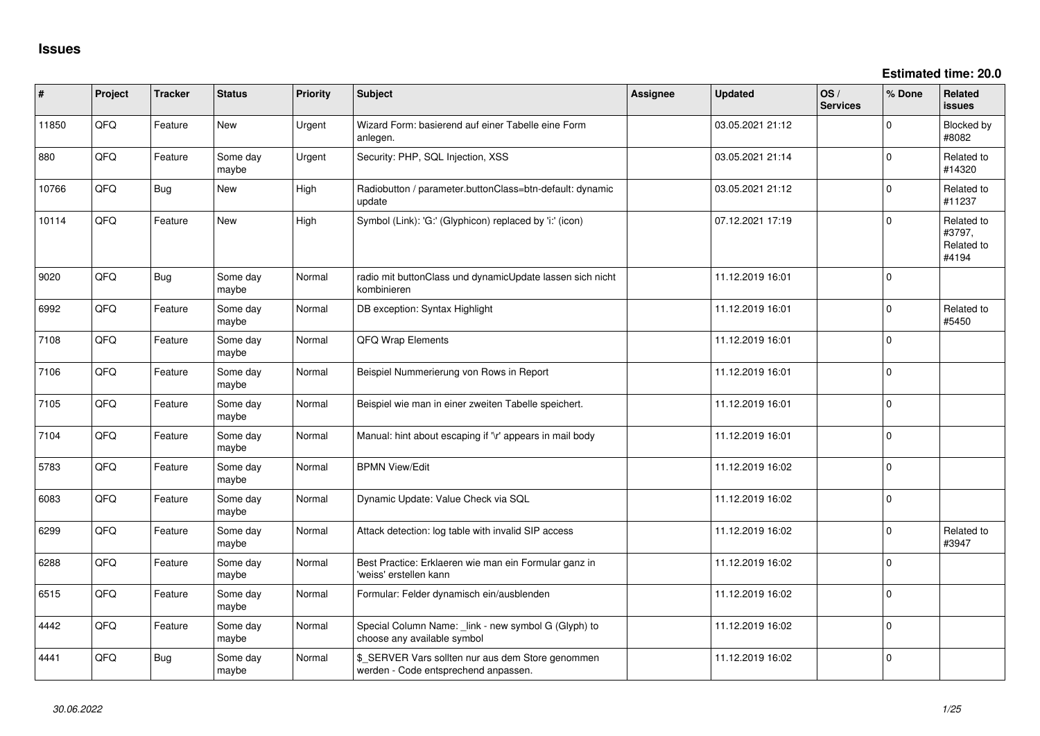**Estimated time: 20.0**

| $\#$  | Project | <b>Tracker</b> | <b>Status</b>     | <b>Priority</b> | Subject                                                                                   | Assignee | <b>Updated</b>   | OS/<br><b>Services</b> | % Done      | Related<br>issues                           |
|-------|---------|----------------|-------------------|-----------------|-------------------------------------------------------------------------------------------|----------|------------------|------------------------|-------------|---------------------------------------------|
| 11850 | QFQ     | Feature        | <b>New</b>        | Urgent          | Wizard Form: basierend auf einer Tabelle eine Form<br>anlegen.                            |          | 03.05.2021 21:12 |                        | $\mathbf 0$ | Blocked by<br>#8082                         |
| 880   | QFQ     | Feature        | Some day<br>maybe | Urgent          | Security: PHP, SQL Injection, XSS                                                         |          | 03.05.2021 21:14 |                        | $\Omega$    | Related to<br>#14320                        |
| 10766 | QFQ     | <b>Bug</b>     | New               | High            | Radiobutton / parameter.buttonClass=btn-default: dynamic<br>update                        |          | 03.05.2021 21:12 |                        | $\mathbf 0$ | Related to<br>#11237                        |
| 10114 | QFQ     | Feature        | <b>New</b>        | High            | Symbol (Link): 'G:' (Glyphicon) replaced by 'i:' (icon)                                   |          | 07.12.2021 17:19 |                        | $\Omega$    | Related to<br>#3797,<br>Related to<br>#4194 |
| 9020  | QFQ     | <b>Bug</b>     | Some day<br>maybe | Normal          | radio mit buttonClass und dynamicUpdate lassen sich nicht<br>kombinieren                  |          | 11.12.2019 16:01 |                        | 0           |                                             |
| 6992  | QFQ     | Feature        | Some day<br>maybe | Normal          | DB exception: Syntax Highlight                                                            |          | 11.12.2019 16:01 |                        | $\mathbf 0$ | Related to<br>#5450                         |
| 7108  | QFQ     | Feature        | Some day<br>maybe | Normal          | QFQ Wrap Elements                                                                         |          | 11.12.2019 16:01 |                        | $\mathbf 0$ |                                             |
| 7106  | QFG     | Feature        | Some day<br>maybe | Normal          | Beispiel Nummerierung von Rows in Report                                                  |          | 11.12.2019 16:01 |                        | 0           |                                             |
| 7105  | QFQ     | Feature        | Some day<br>maybe | Normal          | Beispiel wie man in einer zweiten Tabelle speichert.                                      |          | 11.12.2019 16:01 |                        | $\mathbf 0$ |                                             |
| 7104  | QFG     | Feature        | Some day<br>maybe | Normal          | Manual: hint about escaping if '\r' appears in mail body                                  |          | 11.12.2019 16:01 |                        | 0           |                                             |
| 5783  | QFQ     | Feature        | Some day<br>maybe | Normal          | <b>BPMN View/Edit</b>                                                                     |          | 11.12.2019 16:02 |                        | $\mathbf 0$ |                                             |
| 6083  | QFG     | Feature        | Some day<br>maybe | Normal          | Dynamic Update: Value Check via SQL                                                       |          | 11.12.2019 16:02 |                        | $\mathbf 0$ |                                             |
| 6299  | QFQ     | Feature        | Some day<br>maybe | Normal          | Attack detection: log table with invalid SIP access                                       |          | 11.12.2019 16:02 |                        | $\mathbf 0$ | Related to<br>#3947                         |
| 6288  | QFG     | Feature        | Some day<br>maybe | Normal          | Best Practice: Erklaeren wie man ein Formular ganz in<br>'weiss' erstellen kann           |          | 11.12.2019 16:02 |                        | $\mathbf 0$ |                                             |
| 6515  | QFQ     | Feature        | Some day<br>maybe | Normal          | Formular: Felder dynamisch ein/ausblenden                                                 |          | 11.12.2019 16:02 |                        | 0           |                                             |
| 4442  | QFQ     | Feature        | Some day<br>maybe | Normal          | Special Column Name: _link - new symbol G (Glyph) to<br>choose any available symbol       |          | 11.12.2019 16:02 |                        | $\mathbf 0$ |                                             |
| 4441  | QFQ     | Bug            | Some day<br>maybe | Normal          | \$_SERVER Vars sollten nur aus dem Store genommen<br>werden - Code entsprechend anpassen. |          | 11.12.2019 16:02 |                        | 0           |                                             |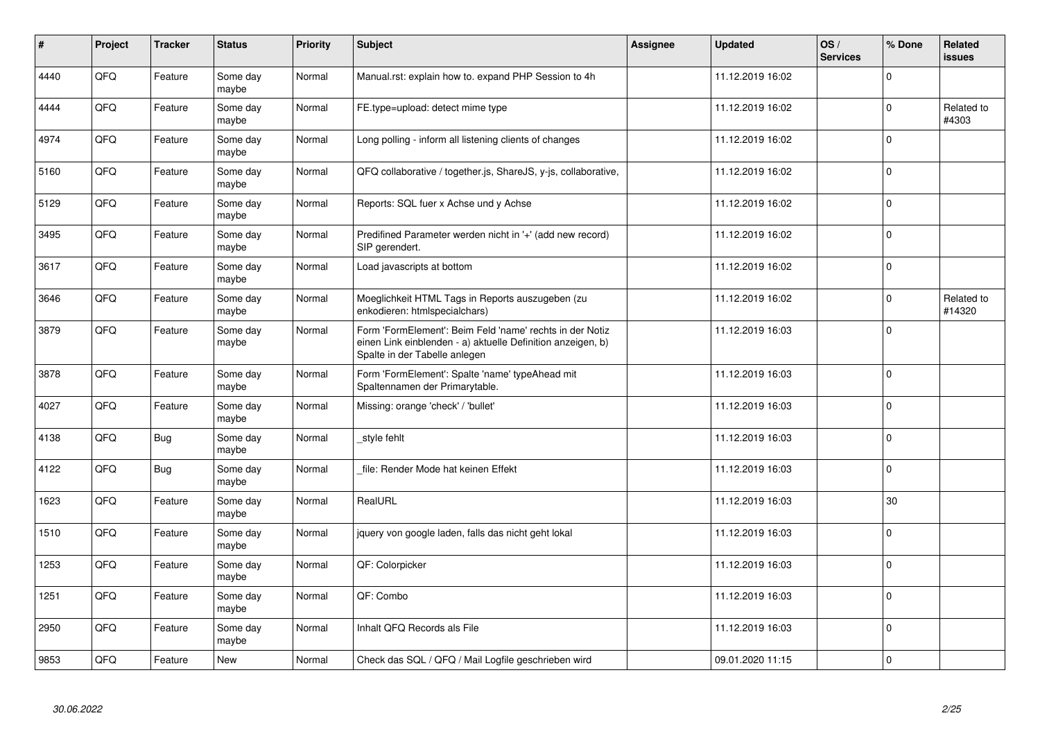| $\vert$ # | Project | <b>Tracker</b> | <b>Status</b>     | <b>Priority</b> | <b>Subject</b>                                                                                                                                           | Assignee | <b>Updated</b>   | OS/<br><b>Services</b> | % Done      | Related<br><b>issues</b> |
|-----------|---------|----------------|-------------------|-----------------|----------------------------------------------------------------------------------------------------------------------------------------------------------|----------|------------------|------------------------|-------------|--------------------------|
| 4440      | QFQ     | Feature        | Some day<br>maybe | Normal          | Manual.rst: explain how to. expand PHP Session to 4h                                                                                                     |          | 11.12.2019 16:02 |                        | $\Omega$    |                          |
| 4444      | QFQ     | Feature        | Some day<br>maybe | Normal          | FE.type=upload: detect mime type                                                                                                                         |          | 11.12.2019 16:02 |                        | $\Omega$    | Related to<br>#4303      |
| 4974      | QFQ     | Feature        | Some day<br>maybe | Normal          | Long polling - inform all listening clients of changes                                                                                                   |          | 11.12.2019 16:02 |                        | $\mathbf 0$ |                          |
| 5160      | QFQ     | Feature        | Some day<br>maybe | Normal          | QFQ collaborative / together.js, ShareJS, y-js, collaborative,                                                                                           |          | 11.12.2019 16:02 |                        | $\Omega$    |                          |
| 5129      | QFQ     | Feature        | Some day<br>maybe | Normal          | Reports: SQL fuer x Achse und y Achse                                                                                                                    |          | 11.12.2019 16:02 |                        | $\mathbf 0$ |                          |
| 3495      | QFQ     | Feature        | Some day<br>maybe | Normal          | Predifined Parameter werden nicht in '+' (add new record)<br>SIP gerendert.                                                                              |          | 11.12.2019 16:02 |                        | $\mathbf 0$ |                          |
| 3617      | QFQ     | Feature        | Some day<br>maybe | Normal          | Load javascripts at bottom                                                                                                                               |          | 11.12.2019 16:02 |                        | $\Omega$    |                          |
| 3646      | QFQ     | Feature        | Some day<br>maybe | Normal          | Moeglichkeit HTML Tags in Reports auszugeben (zu<br>enkodieren: htmlspecialchars)                                                                        |          | 11.12.2019 16:02 |                        | $\Omega$    | Related to<br>#14320     |
| 3879      | QFQ     | Feature        | Some day<br>maybe | Normal          | Form 'FormElement': Beim Feld 'name' rechts in der Notiz<br>einen Link einblenden - a) aktuelle Definition anzeigen, b)<br>Spalte in der Tabelle anlegen |          | 11.12.2019 16:03 |                        | $\Omega$    |                          |
| 3878      | QFQ     | Feature        | Some day<br>maybe | Normal          | Form 'FormElement': Spalte 'name' typeAhead mit<br>Spaltennamen der Primarytable.                                                                        |          | 11.12.2019 16:03 |                        | $\Omega$    |                          |
| 4027      | QFQ     | Feature        | Some day<br>maybe | Normal          | Missing: orange 'check' / 'bullet'                                                                                                                       |          | 11.12.2019 16:03 |                        | $\mathbf 0$ |                          |
| 4138      | QFQ     | <b>Bug</b>     | Some day<br>maybe | Normal          | style fehlt                                                                                                                                              |          | 11.12.2019 16:03 |                        | $\Omega$    |                          |
| 4122      | QFQ     | <b>Bug</b>     | Some day<br>maybe | Normal          | file: Render Mode hat keinen Effekt                                                                                                                      |          | 11.12.2019 16:03 |                        | $\Omega$    |                          |
| 1623      | QFQ     | Feature        | Some day<br>maybe | Normal          | RealURL                                                                                                                                                  |          | 11.12.2019 16:03 |                        | 30          |                          |
| 1510      | QFQ     | Feature        | Some day<br>maybe | Normal          | jquery von google laden, falls das nicht geht lokal                                                                                                      |          | 11.12.2019 16:03 |                        | $\Omega$    |                          |
| 1253      | QFQ     | Feature        | Some day<br>maybe | Normal          | QF: Colorpicker                                                                                                                                          |          | 11.12.2019 16:03 |                        | $\Omega$    |                          |
| 1251      | QFQ     | Feature        | Some day<br>maybe | Normal          | QF: Combo                                                                                                                                                |          | 11.12.2019 16:03 |                        | $\Omega$    |                          |
| 2950      | QFQ     | Feature        | Some day<br>maybe | Normal          | Inhalt QFQ Records als File                                                                                                                              |          | 11.12.2019 16:03 |                        | $\mathbf 0$ |                          |
| 9853      | QFQ     | Feature        | <b>New</b>        | Normal          | Check das SQL / QFQ / Mail Logfile geschrieben wird                                                                                                      |          | 09.01.2020 11:15 |                        | $\Omega$    |                          |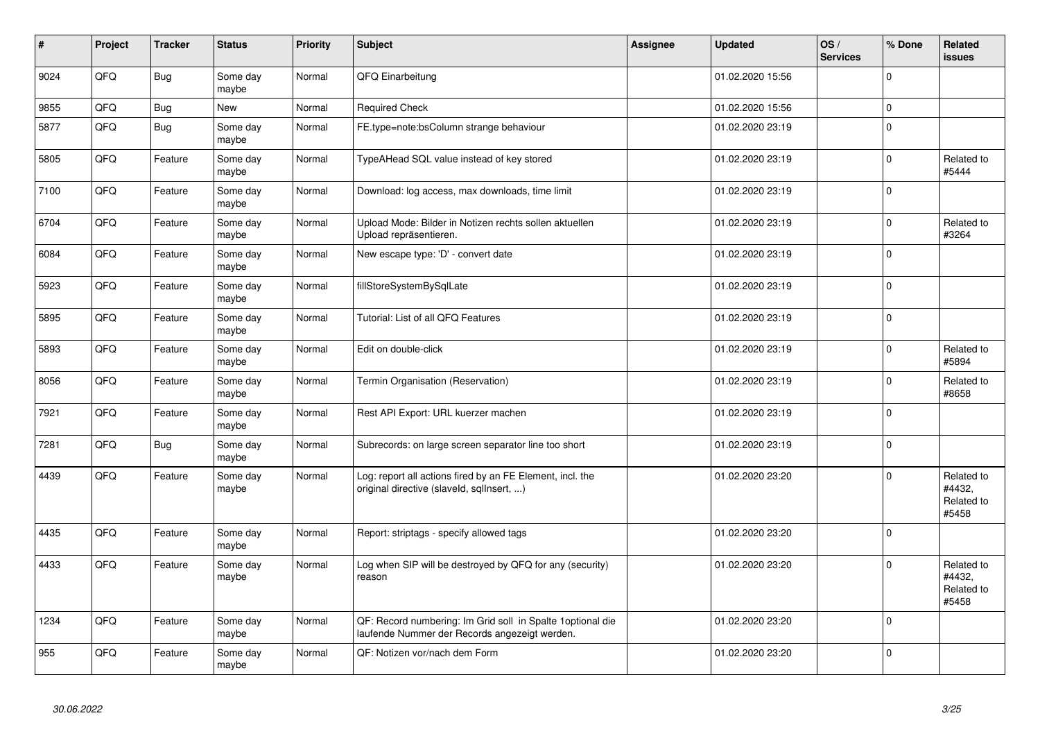| ∦    | Project | <b>Tracker</b> | <b>Status</b>     | <b>Priority</b> | <b>Subject</b>                                                                                               | Assignee | <b>Updated</b>   | OS/<br><b>Services</b> | % Done      | Related<br><b>issues</b>                    |
|------|---------|----------------|-------------------|-----------------|--------------------------------------------------------------------------------------------------------------|----------|------------------|------------------------|-------------|---------------------------------------------|
| 9024 | QFQ     | <b>Bug</b>     | Some day<br>maybe | Normal          | QFQ Einarbeitung                                                                                             |          | 01.02.2020 15:56 |                        | $\mathbf 0$ |                                             |
| 9855 | QFQ     | Bug            | New               | Normal          | <b>Required Check</b>                                                                                        |          | 01.02.2020 15:56 |                        | $\mathbf 0$ |                                             |
| 5877 | QFQ     | Bug            | Some day<br>maybe | Normal          | FE.type=note:bsColumn strange behaviour                                                                      |          | 01.02.2020 23:19 |                        | $\Omega$    |                                             |
| 5805 | QFQ     | Feature        | Some day<br>maybe | Normal          | TypeAHead SQL value instead of key stored                                                                    |          | 01.02.2020 23:19 |                        | $\Omega$    | Related to<br>#5444                         |
| 7100 | QFQ     | Feature        | Some day<br>maybe | Normal          | Download: log access, max downloads, time limit                                                              |          | 01.02.2020 23:19 |                        | $\Omega$    |                                             |
| 6704 | QFQ     | Feature        | Some day<br>maybe | Normal          | Upload Mode: Bilder in Notizen rechts sollen aktuellen<br>Upload repräsentieren.                             |          | 01.02.2020 23:19 |                        | $\Omega$    | Related to<br>#3264                         |
| 6084 | QFQ     | Feature        | Some day<br>maybe | Normal          | New escape type: 'D' - convert date                                                                          |          | 01.02.2020 23:19 |                        | $\Omega$    |                                             |
| 5923 | QFQ     | Feature        | Some day<br>maybe | Normal          | fillStoreSystemBySqlLate                                                                                     |          | 01.02.2020 23:19 |                        | $\Omega$    |                                             |
| 5895 | QFQ     | Feature        | Some day<br>maybe | Normal          | Tutorial: List of all QFQ Features                                                                           |          | 01.02.2020 23:19 |                        | $\Omega$    |                                             |
| 5893 | QFQ     | Feature        | Some day<br>maybe | Normal          | Edit on double-click                                                                                         |          | 01.02.2020 23:19 |                        | $\Omega$    | Related to<br>#5894                         |
| 8056 | QFQ     | Feature        | Some day<br>maybe | Normal          | Termin Organisation (Reservation)                                                                            |          | 01.02.2020 23:19 |                        | $\Omega$    | Related to<br>#8658                         |
| 7921 | QFQ     | Feature        | Some day<br>maybe | Normal          | Rest API Export: URL kuerzer machen                                                                          |          | 01.02.2020 23:19 |                        | $\Omega$    |                                             |
| 7281 | QFQ     | <b>Bug</b>     | Some day<br>maybe | Normal          | Subrecords: on large screen separator line too short                                                         |          | 01.02.2020 23:19 |                        | $\Omega$    |                                             |
| 4439 | QFQ     | Feature        | Some day<br>maybe | Normal          | Log: report all actions fired by an FE Element, incl. the<br>original directive (slaveld, sqllnsert, )       |          | 01.02.2020 23:20 |                        | $\Omega$    | Related to<br>#4432,<br>Related to<br>#5458 |
| 4435 | QFQ     | Feature        | Some day<br>maybe | Normal          | Report: striptags - specify allowed tags                                                                     |          | 01.02.2020 23:20 |                        | $\Omega$    |                                             |
| 4433 | QFQ     | Feature        | Some day<br>maybe | Normal          | Log when SIP will be destroyed by QFQ for any (security)<br>reason                                           |          | 01.02.2020 23:20 |                        | $\Omega$    | Related to<br>#4432.<br>Related to<br>#5458 |
| 1234 | QFQ     | Feature        | Some day<br>maybe | Normal          | QF: Record numbering: Im Grid soll in Spalte 1 optional die<br>laufende Nummer der Records angezeigt werden. |          | 01.02.2020 23:20 |                        | $\Omega$    |                                             |
| 955  | QFQ     | Feature        | Some day<br>maybe | Normal          | QF: Notizen vor/nach dem Form                                                                                |          | 01.02.2020 23:20 |                        | $\Omega$    |                                             |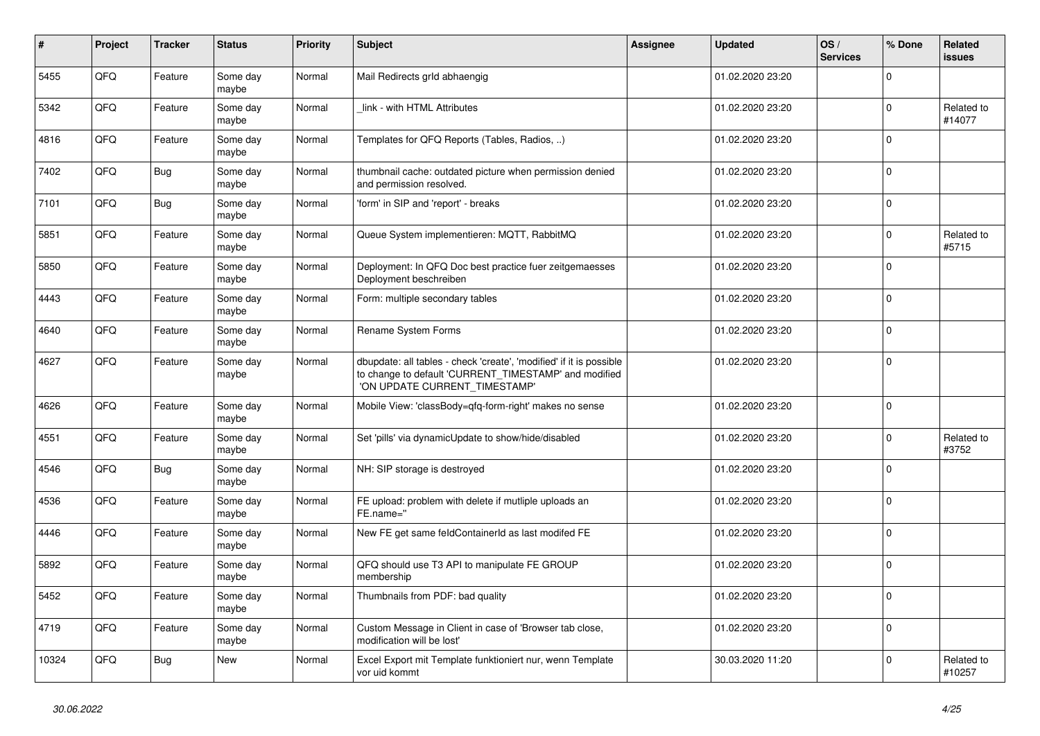| #     | Project | <b>Tracker</b> | <b>Status</b>     | <b>Priority</b> | <b>Subject</b>                                                                                                                                                | <b>Assignee</b> | <b>Updated</b>   | OS/<br><b>Services</b> | % Done      | Related<br><b>issues</b> |
|-------|---------|----------------|-------------------|-----------------|---------------------------------------------------------------------------------------------------------------------------------------------------------------|-----------------|------------------|------------------------|-------------|--------------------------|
| 5455  | QFQ     | Feature        | Some day<br>maybe | Normal          | Mail Redirects grld abhaengig                                                                                                                                 |                 | 01.02.2020 23:20 |                        | $\Omega$    |                          |
| 5342  | QFQ     | Feature        | Some day<br>maybe | Normal          | link - with HTML Attributes                                                                                                                                   |                 | 01.02.2020 23:20 |                        | $\Omega$    | Related to<br>#14077     |
| 4816  | QFQ     | Feature        | Some day<br>maybe | Normal          | Templates for QFQ Reports (Tables, Radios, )                                                                                                                  |                 | 01.02.2020 23:20 |                        | $\Omega$    |                          |
| 7402  | QFQ     | <b>Bug</b>     | Some day<br>maybe | Normal          | thumbnail cache: outdated picture when permission denied<br>and permission resolved.                                                                          |                 | 01.02.2020 23:20 |                        | $\mathbf 0$ |                          |
| 7101  | QFQ     | Bug            | Some day<br>maybe | Normal          | 'form' in SIP and 'report' - breaks                                                                                                                           |                 | 01.02.2020 23:20 |                        | $\Omega$    |                          |
| 5851  | QFQ     | Feature        | Some day<br>mavbe | Normal          | Queue System implementieren: MQTT, RabbitMQ                                                                                                                   |                 | 01.02.2020 23:20 |                        | $\Omega$    | Related to<br>#5715      |
| 5850  | QFQ     | Feature        | Some day<br>maybe | Normal          | Deployment: In QFQ Doc best practice fuer zeitgemaesses<br>Deployment beschreiben                                                                             |                 | 01.02.2020 23:20 |                        | $\Omega$    |                          |
| 4443  | QFQ     | Feature        | Some day<br>maybe | Normal          | Form: multiple secondary tables                                                                                                                               |                 | 01.02.2020 23:20 |                        | $\Omega$    |                          |
| 4640  | QFQ     | Feature        | Some day<br>maybe | Normal          | <b>Rename System Forms</b>                                                                                                                                    |                 | 01.02.2020 23:20 |                        | $\Omega$    |                          |
| 4627  | QFQ     | Feature        | Some day<br>maybe | Normal          | dbupdate: all tables - check 'create', 'modified' if it is possible<br>to change to default 'CURRENT_TIMESTAMP' and modified<br>'ON UPDATE CURRENT_TIMESTAMP' |                 | 01.02.2020 23:20 |                        | $\mathbf 0$ |                          |
| 4626  | QFQ     | Feature        | Some day<br>maybe | Normal          | Mobile View: 'classBody=qfq-form-right' makes no sense                                                                                                        |                 | 01.02.2020 23:20 |                        | $\Omega$    |                          |
| 4551  | QFQ     | Feature        | Some day<br>maybe | Normal          | Set 'pills' via dynamicUpdate to show/hide/disabled                                                                                                           |                 | 01.02.2020 23:20 |                        | $\Omega$    | Related to<br>#3752      |
| 4546  | QFQ     | <b>Bug</b>     | Some day<br>maybe | Normal          | NH: SIP storage is destroyed                                                                                                                                  |                 | 01.02.2020 23:20 |                        | $\mathbf 0$ |                          |
| 4536  | QFQ     | Feature        | Some day<br>maybe | Normal          | FE upload: problem with delete if mutliple uploads an<br>FE.name="                                                                                            |                 | 01.02.2020 23:20 |                        | $\Omega$    |                          |
| 4446  | QFQ     | Feature        | Some day<br>maybe | Normal          | New FE get same feldContainerId as last modifed FE                                                                                                            |                 | 01.02.2020 23:20 |                        | $\Omega$    |                          |
| 5892  | QFQ     | Feature        | Some day<br>maybe | Normal          | QFQ should use T3 API to manipulate FE GROUP<br>membership                                                                                                    |                 | 01.02.2020 23:20 |                        | $\mathbf 0$ |                          |
| 5452  | QFQ     | Feature        | Some day<br>maybe | Normal          | Thumbnails from PDF: bad quality                                                                                                                              |                 | 01.02.2020 23:20 |                        | $\Omega$    |                          |
| 4719  | QFQ     | Feature        | Some day<br>maybe | Normal          | Custom Message in Client in case of 'Browser tab close,<br>modification will be lost'                                                                         |                 | 01.02.2020 23:20 |                        | $\Omega$    |                          |
| 10324 | QFQ     | <b>Bug</b>     | New               | Normal          | Excel Export mit Template funktioniert nur, wenn Template<br>vor uid kommt                                                                                    |                 | 30.03.2020 11:20 |                        | $\Omega$    | Related to<br>#10257     |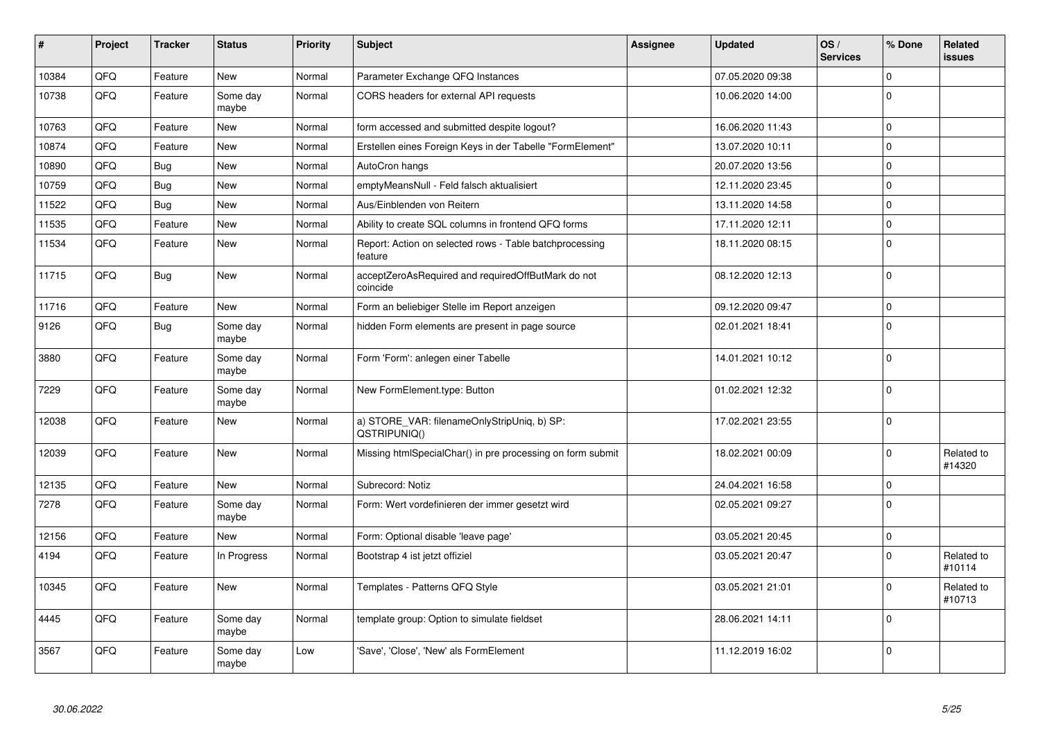| $\pmb{\#}$ | Project | <b>Tracker</b> | <b>Status</b>     | <b>Priority</b> | <b>Subject</b>                                                     | <b>Assignee</b> | <b>Updated</b>   | OS/<br><b>Services</b> | % Done      | Related<br>issues    |
|------------|---------|----------------|-------------------|-----------------|--------------------------------------------------------------------|-----------------|------------------|------------------------|-------------|----------------------|
| 10384      | QFQ     | Feature        | <b>New</b>        | Normal          | Parameter Exchange QFQ Instances                                   |                 | 07.05.2020 09:38 |                        | $\Omega$    |                      |
| 10738      | QFQ     | Feature        | Some day<br>maybe | Normal          | CORS headers for external API requests                             |                 | 10.06.2020 14:00 |                        | $\Omega$    |                      |
| 10763      | QFQ     | Feature        | <b>New</b>        | Normal          | form accessed and submitted despite logout?                        |                 | 16.06.2020 11:43 |                        | $\Omega$    |                      |
| 10874      | QFQ     | Feature        | <b>New</b>        | Normal          | Erstellen eines Foreign Keys in der Tabelle "FormElement"          |                 | 13.07.2020 10:11 |                        | $\Omega$    |                      |
| 10890      | QFQ     | <b>Bug</b>     | <b>New</b>        | Normal          | AutoCron hangs                                                     |                 | 20.07.2020 13:56 |                        | $\Omega$    |                      |
| 10759      | QFQ     | Bug            | <b>New</b>        | Normal          | emptyMeansNull - Feld falsch aktualisiert                          |                 | 12.11.2020 23:45 |                        | $\Omega$    |                      |
| 11522      | QFQ     | <b>Bug</b>     | <b>New</b>        | Normal          | Aus/Einblenden von Reitern                                         |                 | 13.11.2020 14:58 |                        | $\mathbf 0$ |                      |
| 11535      | QFQ     | Feature        | <b>New</b>        | Normal          | Ability to create SQL columns in frontend QFQ forms                |                 | 17.11.2020 12:11 |                        | $\mathbf 0$ |                      |
| 11534      | QFQ     | Feature        | <b>New</b>        | Normal          | Report: Action on selected rows - Table batchprocessing<br>feature |                 | 18.11.2020 08:15 |                        | $\mathbf 0$ |                      |
| 11715      | QFQ     | Bug            | New               | Normal          | acceptZeroAsRequired and requiredOffButMark do not<br>coincide     |                 | 08.12.2020 12:13 |                        | $\Omega$    |                      |
| 11716      | QFQ     | Feature        | <b>New</b>        | Normal          | Form an beliebiger Stelle im Report anzeigen                       |                 | 09.12.2020 09:47 |                        | $\mathbf 0$ |                      |
| 9126       | QFQ     | <b>Bug</b>     | Some day<br>maybe | Normal          | hidden Form elements are present in page source                    |                 | 02.01.2021 18:41 |                        | $\Omega$    |                      |
| 3880       | QFQ     | Feature        | Some day<br>maybe | Normal          | Form 'Form': anlegen einer Tabelle                                 |                 | 14.01.2021 10:12 |                        | $\Omega$    |                      |
| 7229       | QFQ     | Feature        | Some day<br>maybe | Normal          | New FormElement.type: Button                                       |                 | 01.02.2021 12:32 |                        | $\Omega$    |                      |
| 12038      | QFQ     | Feature        | New               | Normal          | a) STORE_VAR: filenameOnlyStripUniq, b) SP:<br>QSTRIPUNIQ()        |                 | 17.02.2021 23:55 |                        | $\Omega$    |                      |
| 12039      | QFQ     | Feature        | <b>New</b>        | Normal          | Missing htmlSpecialChar() in pre processing on form submit         |                 | 18.02.2021 00:09 |                        | $\Omega$    | Related to<br>#14320 |
| 12135      | QFQ     | Feature        | <b>New</b>        | Normal          | Subrecord: Notiz                                                   |                 | 24.04.2021 16:58 |                        | $\mathbf 0$ |                      |
| 7278       | QFQ     | Feature        | Some day<br>maybe | Normal          | Form: Wert vordefinieren der immer gesetzt wird                    |                 | 02.05.2021 09:27 |                        | $\Omega$    |                      |
| 12156      | QFQ     | Feature        | New               | Normal          | Form: Optional disable 'leave page'                                |                 | 03.05.2021 20:45 |                        | $\mathbf 0$ |                      |
| 4194       | QFQ     | Feature        | In Progress       | Normal          | Bootstrap 4 ist jetzt offiziel                                     |                 | 03.05.2021 20:47 |                        | $\Omega$    | Related to<br>#10114 |
| 10345      | QFQ     | Feature        | New               | Normal          | Templates - Patterns QFQ Style                                     |                 | 03.05.2021 21:01 |                        | $\Omega$    | Related to<br>#10713 |
| 4445       | QFQ     | Feature        | Some day<br>maybe | Normal          | template group: Option to simulate fieldset                        |                 | 28.06.2021 14:11 |                        | $\mathbf 0$ |                      |
| 3567       | QFQ     | Feature        | Some day<br>maybe | Low             | 'Save', 'Close', 'New' als FormElement                             |                 | 11.12.2019 16:02 |                        | $\Omega$    |                      |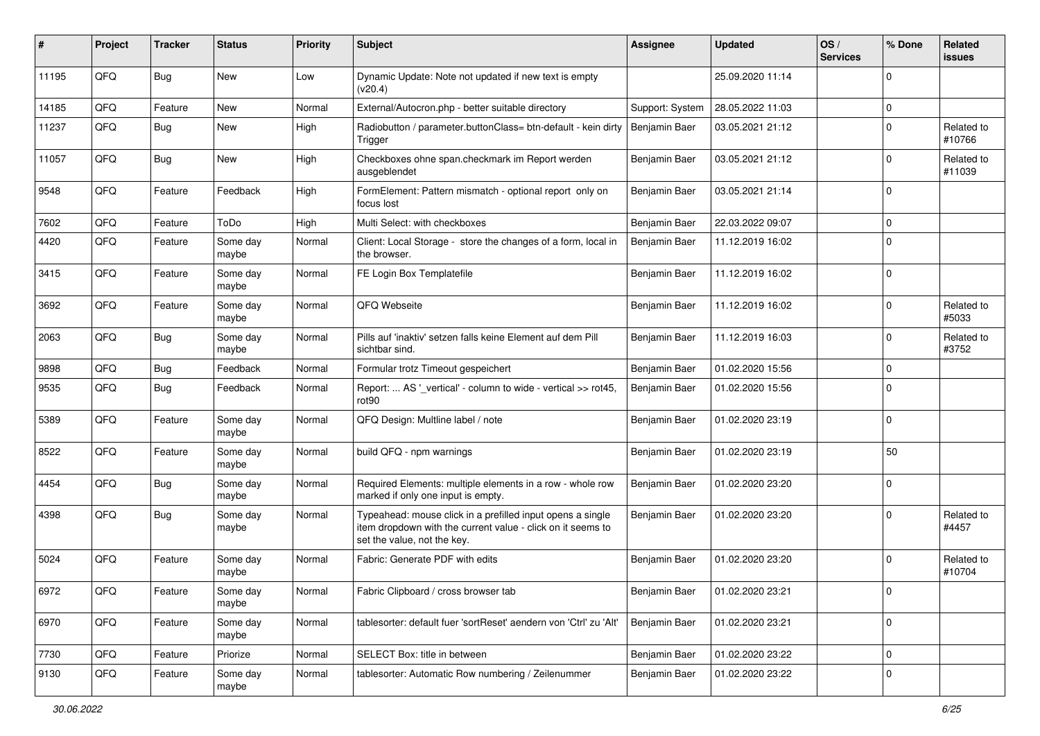| #     | Project | <b>Tracker</b> | <b>Status</b>     | <b>Priority</b> | Subject                                                                                                                                                  | <b>Assignee</b> | <b>Updated</b>   | OS/<br><b>Services</b> | % Done         | Related<br>issues    |
|-------|---------|----------------|-------------------|-----------------|----------------------------------------------------------------------------------------------------------------------------------------------------------|-----------------|------------------|------------------------|----------------|----------------------|
| 11195 | QFQ     | Bug            | <b>New</b>        | Low             | Dynamic Update: Note not updated if new text is empty<br>(v20.4)                                                                                         |                 | 25.09.2020 11:14 |                        | $\Omega$       |                      |
| 14185 | QFQ     | Feature        | <b>New</b>        | Normal          | External/Autocron.php - better suitable directory                                                                                                        | Support: System | 28.05.2022 11:03 |                        | $\mathbf 0$    |                      |
| 11237 | QFQ     | Bug            | <b>New</b>        | High            | Radiobutton / parameter.buttonClass= btn-default - kein dirty<br>Trigger                                                                                 | Benjamin Baer   | 03.05.2021 21:12 |                        | $\Omega$       | Related to<br>#10766 |
| 11057 | QFQ     | <b>Bug</b>     | New               | High            | Checkboxes ohne span.checkmark im Report werden<br>ausgeblendet                                                                                          | Benjamin Baer   | 03.05.2021 21:12 |                        | $\Omega$       | Related to<br>#11039 |
| 9548  | QFQ     | Feature        | Feedback          | High            | FormElement: Pattern mismatch - optional report only on<br>focus lost                                                                                    | Benjamin Baer   | 03.05.2021 21:14 |                        | $\Omega$       |                      |
| 7602  | QFQ     | Feature        | ToDo              | High            | Multi Select: with checkboxes                                                                                                                            | Benjamin Baer   | 22.03.2022 09:07 |                        | $\Omega$       |                      |
| 4420  | QFQ     | Feature        | Some day<br>maybe | Normal          | Client: Local Storage - store the changes of a form, local in<br>the browser.                                                                            | Benjamin Baer   | 11.12.2019 16:02 |                        | 0              |                      |
| 3415  | QFQ     | Feature        | Some day<br>maybe | Normal          | FE Login Box Templatefile                                                                                                                                | Benjamin Baer   | 11.12.2019 16:02 |                        | $\Omega$       |                      |
| 3692  | QFQ     | Feature        | Some day<br>maybe | Normal          | QFQ Webseite                                                                                                                                             | Benjamin Baer   | 11.12.2019 16:02 |                        | $\Omega$       | Related to<br>#5033  |
| 2063  | QFQ     | <b>Bug</b>     | Some day<br>maybe | Normal          | Pills auf 'inaktiv' setzen falls keine Element auf dem Pill<br>sichtbar sind.                                                                            | Benjamin Baer   | 11.12.2019 16:03 |                        | $\Omega$       | Related to<br>#3752  |
| 9898  | QFQ     | <b>Bug</b>     | Feedback          | Normal          | Formular trotz Timeout gespeichert                                                                                                                       | Benjamin Baer   | 01.02.2020 15:56 |                        | $\Omega$       |                      |
| 9535  | QFQ     | <b>Bug</b>     | Feedback          | Normal          | Report:  AS '_vertical' - column to wide - vertical >> rot45,<br>rot <sub>90</sub>                                                                       | Benjamin Baer   | 01.02.2020 15:56 |                        | 0              |                      |
| 5389  | QFQ     | Feature        | Some day<br>maybe | Normal          | QFQ Design: Multline label / note                                                                                                                        | Benjamin Baer   | 01.02.2020 23:19 |                        | $\Omega$       |                      |
| 8522  | QFQ     | Feature        | Some day<br>maybe | Normal          | build QFQ - npm warnings                                                                                                                                 | Benjamin Baer   | 01.02.2020 23:19 |                        | 50             |                      |
| 4454  | QFQ     | Bug            | Some day<br>maybe | Normal          | Required Elements: multiple elements in a row - whole row<br>marked if only one input is empty.                                                          | Benjamin Baer   | 01.02.2020 23:20 |                        | $\Omega$       |                      |
| 4398  | QFQ     | <b>Bug</b>     | Some day<br>maybe | Normal          | Typeahead: mouse click in a prefilled input opens a single<br>item dropdown with the current value - click on it seems to<br>set the value, not the key. | Benjamin Baer   | 01.02.2020 23:20 |                        | $\Omega$       | Related to<br>#4457  |
| 5024  | QFQ     | Feature        | Some day<br>maybe | Normal          | Fabric: Generate PDF with edits                                                                                                                          | Benjamin Baer   | 01.02.2020 23:20 |                        | $\overline{0}$ | Related to<br>#10704 |
| 6972  | QFQ     | Feature        | Some day<br>maybe | Normal          | Fabric Clipboard / cross browser tab                                                                                                                     | Benjamin Baer   | 01.02.2020 23:21 |                        | U              |                      |
| 6970  | QFQ     | Feature        | Some day<br>maybe | Normal          | tablesorter: default fuer 'sortReset' aendern von 'Ctrl' zu 'Alt'                                                                                        | Benjamin Baer   | 01.02.2020 23:21 |                        | 0              |                      |
| 7730  | QFQ     | Feature        | Priorize          | Normal          | SELECT Box: title in between                                                                                                                             | Benjamin Baer   | 01.02.2020 23:22 |                        | $\mathbf 0$    |                      |
| 9130  | QFQ     | Feature        | Some day<br>maybe | Normal          | tablesorter: Automatic Row numbering / Zeilenummer                                                                                                       | Benjamin Baer   | 01.02.2020 23:22 |                        | 0              |                      |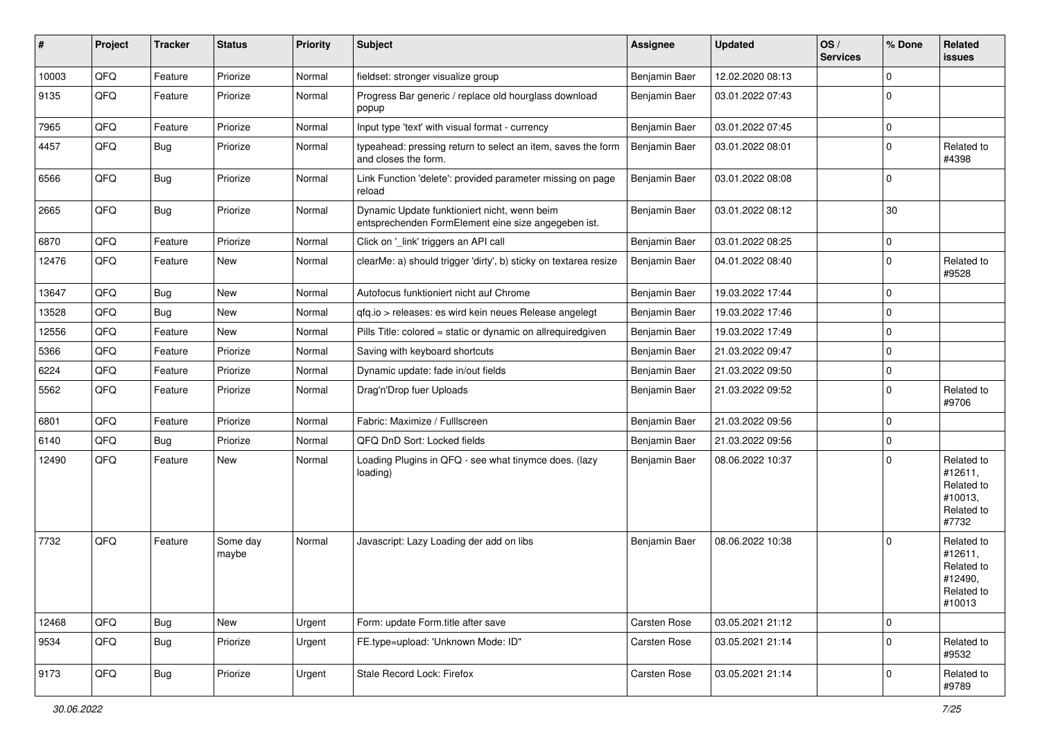| #     | Project | <b>Tracker</b> | <b>Status</b>     | <b>Priority</b> | Subject                                                                                             | Assignee             | <b>Updated</b>   | OS/<br><b>Services</b> | % Done      | Related<br>issues                                                      |
|-------|---------|----------------|-------------------|-----------------|-----------------------------------------------------------------------------------------------------|----------------------|------------------|------------------------|-------------|------------------------------------------------------------------------|
| 10003 | QFQ     | Feature        | Priorize          | Normal          | fieldset: stronger visualize group                                                                  | Benjamin Baer        | 12.02.2020 08:13 |                        | 0           |                                                                        |
| 9135  | QFQ     | Feature        | Priorize          | Normal          | Progress Bar generic / replace old hourglass download<br>popup                                      | Benjamin Baer        | 03.01.2022 07:43 |                        | 0           |                                                                        |
| 7965  | QFQ     | Feature        | Priorize          | Normal          | Input type 'text' with visual format - currency                                                     | Benjamin Baer        | 03.01.2022 07:45 |                        | $\mathbf 0$ |                                                                        |
| 4457  | QFQ     | <b>Bug</b>     | Priorize          | Normal          | typeahead: pressing return to select an item, saves the form<br>and closes the form.                | Benjamin Baer        | 03.01.2022 08:01 |                        | 0           | Related to<br>#4398                                                    |
| 6566  | QFQ     | <b>Bug</b>     | Priorize          | Normal          | Link Function 'delete': provided parameter missing on page<br>reload                                | Benjamin Baer        | 03.01.2022 08:08 |                        | $\mathbf 0$ |                                                                        |
| 2665  | QFQ     | Bug            | Priorize          | Normal          | Dynamic Update funktioniert nicht, wenn beim<br>entsprechenden FormElement eine size angegeben ist. | Benjamin Baer        | 03.01.2022 08:12 |                        | 30          |                                                                        |
| 6870  | QFQ     | Feature        | Priorize          | Normal          | Click on '_link' triggers an API call                                                               | Benjamin Baer        | 03.01.2022 08:25 |                        | $\mathbf 0$ |                                                                        |
| 12476 | QFQ     | Feature        | <b>New</b>        | Normal          | clearMe: a) should trigger 'dirty', b) sticky on textarea resize                                    | Benjamin Baer        | 04.01.2022 08:40 |                        | 0           | Related to<br>#9528                                                    |
| 13647 | QFQ     | Bug            | <b>New</b>        | Normal          | Autofocus funktioniert nicht auf Chrome                                                             | Benjamin Baer        | 19.03.2022 17:44 |                        | $\Omega$    |                                                                        |
| 13528 | QFQ     | Bug            | <b>New</b>        | Normal          | qfq.io > releases: es wird kein neues Release angelegt                                              | Benjamin Baer        | 19.03.2022 17:46 |                        | $\mathbf 0$ |                                                                        |
| 12556 | QFQ     | Feature        | New               | Normal          | Pills Title: colored = static or dynamic on allrequiredgiven                                        | Benjamin Baer        | 19.03.2022 17:49 |                        | 0           |                                                                        |
| 5366  | QFQ     | Feature        | Priorize          | Normal          | Saving with keyboard shortcuts                                                                      | Benjamin Baer        | 21.03.2022 09:47 |                        | $\Omega$    |                                                                        |
| 6224  | QFQ     | Feature        | Priorize          | Normal          | Dynamic update: fade in/out fields                                                                  | Benjamin Baer        | 21.03.2022 09:50 |                        | $\Omega$    |                                                                        |
| 5562  | QFQ     | Feature        | Priorize          | Normal          | Drag'n'Drop fuer Uploads                                                                            | <b>Benjamin Baer</b> | 21.03.2022 09:52 |                        | $\Omega$    | Related to<br>#9706                                                    |
| 6801  | QFQ     | Feature        | Priorize          | Normal          | Fabric: Maximize / FullIscreen                                                                      | Benjamin Baer        | 21.03.2022 09:56 |                        | 0           |                                                                        |
| 6140  | QFQ     | Bug            | Priorize          | Normal          | QFQ DnD Sort: Locked fields                                                                         | Benjamin Baer        | 21.03.2022 09:56 |                        | $\mathbf 0$ |                                                                        |
| 12490 | QFQ     | Feature        | New               | Normal          | Loading Plugins in QFQ - see what tinymce does. (lazy<br>loading)                                   | Benjamin Baer        | 08.06.2022 10:37 |                        | $\Omega$    | Related to<br>#12611,<br>Related to<br>#10013,<br>Related to<br>#7732  |
| 7732  | QFQ     | Feature        | Some day<br>maybe | Normal          | Javascript: Lazy Loading der add on libs                                                            | Benjamin Baer        | 08.06.2022 10:38 |                        | $\Omega$    | Related to<br>#12611,<br>Related to<br>#12490,<br>Related to<br>#10013 |
| 12468 | QFQ     | <b>Bug</b>     | New               | Urgent          | Form: update Form.title after save                                                                  | Carsten Rose         | 03.05.2021 21:12 |                        | $\mathbf 0$ |                                                                        |
| 9534  | QFQ     | Bug            | Priorize          | Urgent          | FE.type=upload: 'Unknown Mode: ID"                                                                  | Carsten Rose         | 03.05.2021 21:14 |                        | $\Omega$    | Related to<br>#9532                                                    |
| 9173  | QFQ     | <b>Bug</b>     | Priorize          | Urgent          | Stale Record Lock: Firefox                                                                          | Carsten Rose         | 03.05.2021 21:14 |                        | $\Omega$    | Related to<br>#9789                                                    |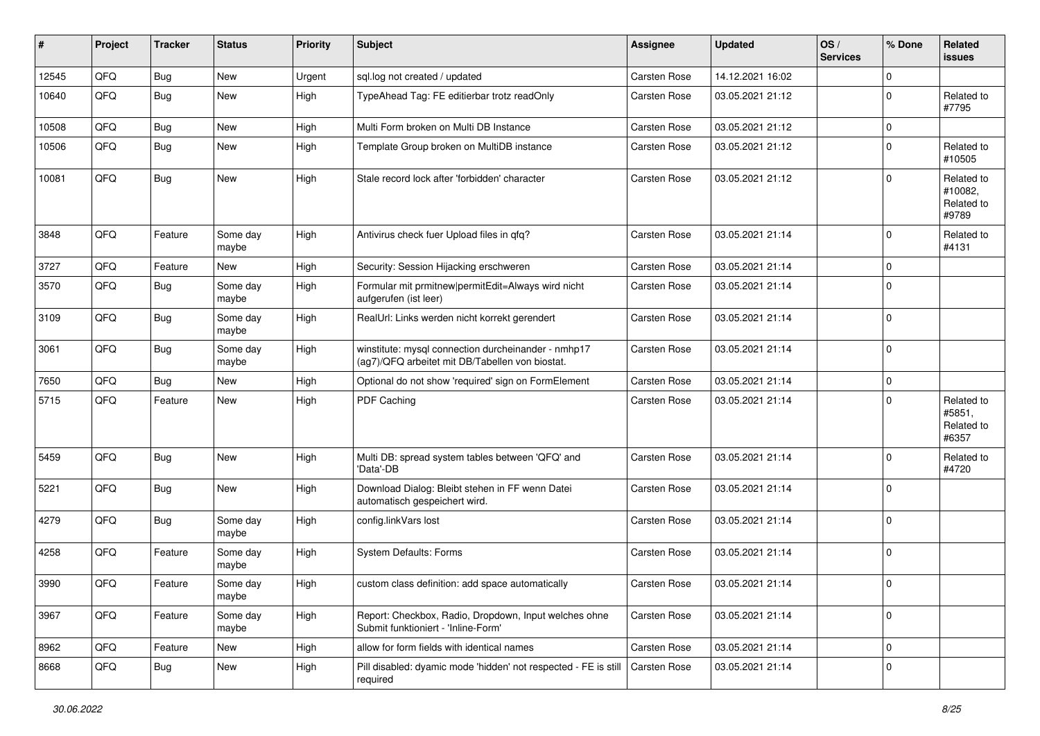| #     | Project | <b>Tracker</b> | <b>Status</b>     | <b>Priority</b> | Subject                                                                                                | <b>Assignee</b>     | <b>Updated</b>   | OS/<br><b>Services</b> | % Done      | Related<br>issues                            |
|-------|---------|----------------|-------------------|-----------------|--------------------------------------------------------------------------------------------------------|---------------------|------------------|------------------------|-------------|----------------------------------------------|
| 12545 | QFQ     | <b>Bug</b>     | New               | Urgent          | sql.log not created / updated                                                                          | Carsten Rose        | 14.12.2021 16:02 |                        | $\mathbf 0$ |                                              |
| 10640 | QFQ     | <b>Bug</b>     | <b>New</b>        | High            | TypeAhead Tag: FE editierbar trotz readOnly                                                            | Carsten Rose        | 03.05.2021 21:12 |                        | $\mathbf 0$ | Related to<br>#7795                          |
| 10508 | QFQ     | Bug            | <b>New</b>        | High            | Multi Form broken on Multi DB Instance                                                                 | Carsten Rose        | 03.05.2021 21:12 |                        | $\mathbf 0$ |                                              |
| 10506 | QFQ     | <b>Bug</b>     | New               | High            | Template Group broken on MultiDB instance                                                              | Carsten Rose        | 03.05.2021 21:12 |                        | $\mathbf 0$ | Related to<br>#10505                         |
| 10081 | QFQ     | <b>Bug</b>     | New               | High            | Stale record lock after 'forbidden' character                                                          | Carsten Rose        | 03.05.2021 21:12 |                        | $\Omega$    | Related to<br>#10082,<br>Related to<br>#9789 |
| 3848  | QFQ     | Feature        | Some day<br>maybe | High            | Antivirus check fuer Upload files in qfq?                                                              | Carsten Rose        | 03.05.2021 21:14 |                        | $\Omega$    | Related to<br>#4131                          |
| 3727  | QFQ     | Feature        | <b>New</b>        | High            | Security: Session Hijacking erschweren                                                                 | Carsten Rose        | 03.05.2021 21:14 |                        | $\mathbf 0$ |                                              |
| 3570  | QFQ     | Bug            | Some day<br>maybe | High            | Formular mit prmitnew permitEdit=Always wird nicht<br>aufgerufen (ist leer)                            | Carsten Rose        | 03.05.2021 21:14 |                        | $\mathbf 0$ |                                              |
| 3109  | QFQ     | <b>Bug</b>     | Some day<br>maybe | High            | RealUrl: Links werden nicht korrekt gerendert                                                          | Carsten Rose        | 03.05.2021 21:14 |                        | $\mathbf 0$ |                                              |
| 3061  | QFQ     | <b>Bug</b>     | Some day<br>maybe | High            | winstitute: mysql connection durcheinander - nmhp17<br>(ag7)/QFQ arbeitet mit DB/Tabellen von biostat. | Carsten Rose        | 03.05.2021 21:14 |                        | $\mathbf 0$ |                                              |
| 7650  | QFQ     | <b>Bug</b>     | New               | High            | Optional do not show 'required' sign on FormElement                                                    | Carsten Rose        | 03.05.2021 21:14 |                        | $\mathbf 0$ |                                              |
| 5715  | QFQ     | Feature        | New               | High            | PDF Caching                                                                                            | Carsten Rose        | 03.05.2021 21:14 |                        | $\mathbf 0$ | Related to<br>#5851,<br>Related to<br>#6357  |
| 5459  | QFQ     | <b>Bug</b>     | New               | High            | Multi DB: spread system tables between 'QFQ' and<br>'Data'-DB                                          | Carsten Rose        | 03.05.2021 21:14 |                        | $\Omega$    | Related to<br>#4720                          |
| 5221  | QFQ     | Bug            | New               | High            | Download Dialog: Bleibt stehen in FF wenn Datei<br>automatisch gespeichert wird.                       | Carsten Rose        | 03.05.2021 21:14 |                        | $\mathbf 0$ |                                              |
| 4279  | QFQ     | <b>Bug</b>     | Some day<br>maybe | High            | config.linkVars lost                                                                                   | Carsten Rose        | 03.05.2021 21:14 |                        | $\mathbf 0$ |                                              |
| 4258  | QFQ     | Feature        | Some day<br>maybe | High            | System Defaults: Forms                                                                                 | Carsten Rose        | 03.05.2021 21:14 |                        | $\mathbf 0$ |                                              |
| 3990  | QFQ     | Feature        | Some day<br>maybe | High            | custom class definition: add space automatically                                                       | Carsten Rose        | 03.05.2021 21:14 |                        | $\mathbf 0$ |                                              |
| 3967  | QFQ     | Feature        | Some day<br>maybe | High            | Report: Checkbox, Radio, Dropdown, Input welches ohne<br>Submit funktioniert - 'Inline-Form'           | Carsten Rose        | 03.05.2021 21:14 |                        | $\mathbf 0$ |                                              |
| 8962  | QFQ     | Feature        | New               | High            | allow for form fields with identical names                                                             | Carsten Rose        | 03.05.2021 21:14 |                        | $\mathbf 0$ |                                              |
| 8668  | QFQ     | Bug            | New               | High            | Pill disabled: dyamic mode 'hidden' not respected - FE is still<br>required                            | <b>Carsten Rose</b> | 03.05.2021 21:14 |                        | $\mathbf 0$ |                                              |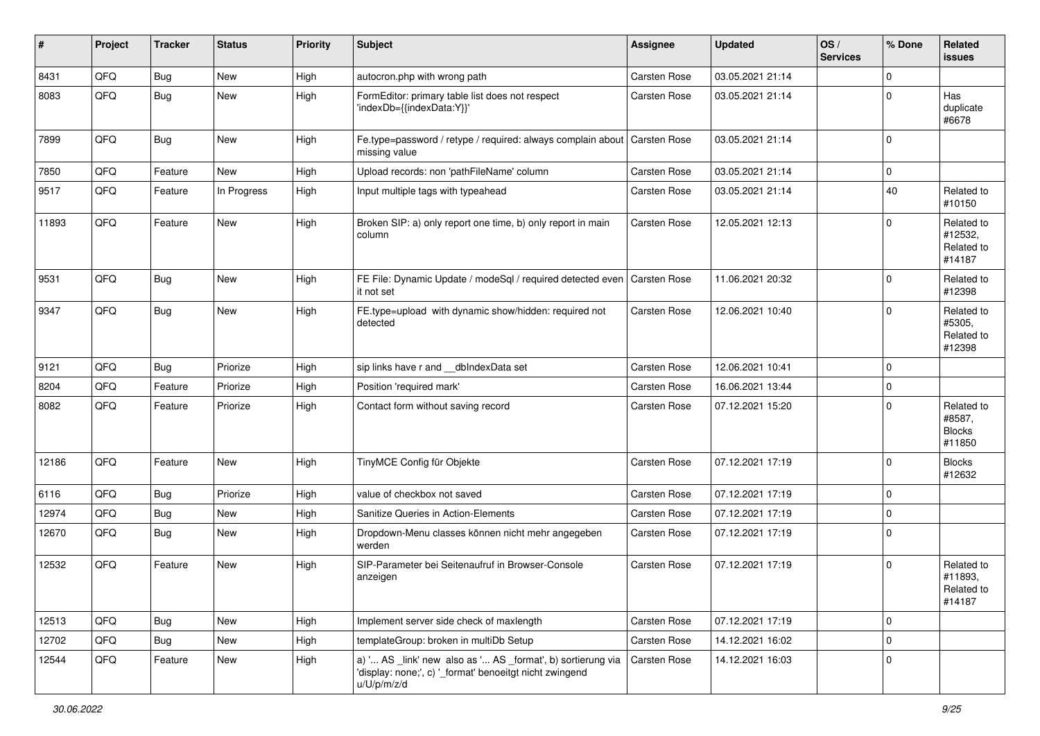| $\sharp$ | Project | <b>Tracker</b> | <b>Status</b> | <b>Priority</b> | <b>Subject</b>                                                                                                                        | Assignee            | <b>Updated</b>   | OS/<br><b>Services</b> | % Done      | Related<br><b>issues</b>                        |
|----------|---------|----------------|---------------|-----------------|---------------------------------------------------------------------------------------------------------------------------------------|---------------------|------------------|------------------------|-------------|-------------------------------------------------|
| 8431     | QFQ     | Bug            | <b>New</b>    | High            | autocron.php with wrong path                                                                                                          | Carsten Rose        | 03.05.2021 21:14 |                        | $\Omega$    |                                                 |
| 8083     | QFQ     | <b>Bug</b>     | New           | High            | FormEditor: primary table list does not respect<br>'indexDb={{indexData:Y}}'                                                          | Carsten Rose        | 03.05.2021 21:14 |                        | $\mathbf 0$ | Has<br>duplicate<br>#6678                       |
| 7899     | QFQ     | <b>Bug</b>     | <b>New</b>    | High            | Fe.type=password / retype / required: always complain about<br>missing value                                                          | <b>Carsten Rose</b> | 03.05.2021 21:14 |                        | $\Omega$    |                                                 |
| 7850     | QFQ     | Feature        | New           | High            | Upload records: non 'pathFileName' column                                                                                             | Carsten Rose        | 03.05.2021 21:14 |                        | $\mathbf 0$ |                                                 |
| 9517     | QFQ     | Feature        | In Progress   | High            | Input multiple tags with typeahead                                                                                                    | Carsten Rose        | 03.05.2021 21:14 |                        | 40          | Related to<br>#10150                            |
| 11893    | QFQ     | Feature        | New           | High            | Broken SIP: a) only report one time, b) only report in main<br>column                                                                 | Carsten Rose        | 12.05.2021 12:13 |                        | $\Omega$    | Related to<br>#12532,<br>Related to<br>#14187   |
| 9531     | QFQ     | Bug            | <b>New</b>    | High            | FE File: Dynamic Update / modeSql / required detected even<br>it not set                                                              | Carsten Rose        | 11.06.2021 20:32 |                        | $\mathbf 0$ | Related to<br>#12398                            |
| 9347     | QFQ     | <b>Bug</b>     | New           | High            | FE.type=upload with dynamic show/hidden: required not<br>detected                                                                     | Carsten Rose        | 12.06.2021 10:40 |                        | $\mathbf 0$ | Related to<br>#5305,<br>Related to<br>#12398    |
| 9121     | QFQ     | <b>Bug</b>     | Priorize      | High            | sip links have r and __dbIndexData set                                                                                                | Carsten Rose        | 12.06.2021 10:41 |                        | $\mathbf 0$ |                                                 |
| 8204     | QFQ     | Feature        | Priorize      | High            | Position 'required mark'                                                                                                              | Carsten Rose        | 16.06.2021 13:44 |                        | $\mathbf 0$ |                                                 |
| 8082     | QFQ     | Feature        | Priorize      | High            | Contact form without saving record                                                                                                    | Carsten Rose        | 07.12.2021 15:20 |                        | $\Omega$    | Related to<br>#8587,<br><b>Blocks</b><br>#11850 |
| 12186    | QFQ     | Feature        | New           | High            | TinyMCE Config für Objekte                                                                                                            | Carsten Rose        | 07.12.2021 17:19 |                        | $\mathbf 0$ | <b>Blocks</b><br>#12632                         |
| 6116     | QFQ     | Bug            | Priorize      | High            | value of checkbox not saved                                                                                                           | Carsten Rose        | 07.12.2021 17:19 |                        | $\mathbf 0$ |                                                 |
| 12974    | QFQ     | Bug            | New           | High            | Sanitize Queries in Action-Elements                                                                                                   | Carsten Rose        | 07.12.2021 17:19 |                        | $\mathbf 0$ |                                                 |
| 12670    | QFQ     | Bug            | New           | High            | Dropdown-Menu classes können nicht mehr angegeben<br>werden                                                                           | Carsten Rose        | 07.12.2021 17:19 |                        | $\mathbf 0$ |                                                 |
| 12532    | QFQ     | Feature        | New           | High            | SIP-Parameter bei Seitenaufruf in Browser-Console<br>anzeigen                                                                         | Carsten Rose        | 07.12.2021 17:19 |                        | $\mathbf 0$ | Related to<br>#11893,<br>Related to<br>#14187   |
| 12513    | QFQ     | Bug            | New           | High            | Implement server side check of maxlength                                                                                              | Carsten Rose        | 07.12.2021 17:19 |                        | $\mathbf 0$ |                                                 |
| 12702    | QFQ     | <b>Bug</b>     | New           | High            | templateGroup: broken in multiDb Setup                                                                                                | Carsten Rose        | 14.12.2021 16:02 |                        | $\mathbf 0$ |                                                 |
| 12544    | QFQ     | Feature        | New           | High            | a) ' AS _link' new also as ' AS _format', b) sortierung via<br>'display: none;', c) ' format' benoeitgt nicht zwingend<br>u/U/p/m/z/d | Carsten Rose        | 14.12.2021 16:03 |                        | $\mathbf 0$ |                                                 |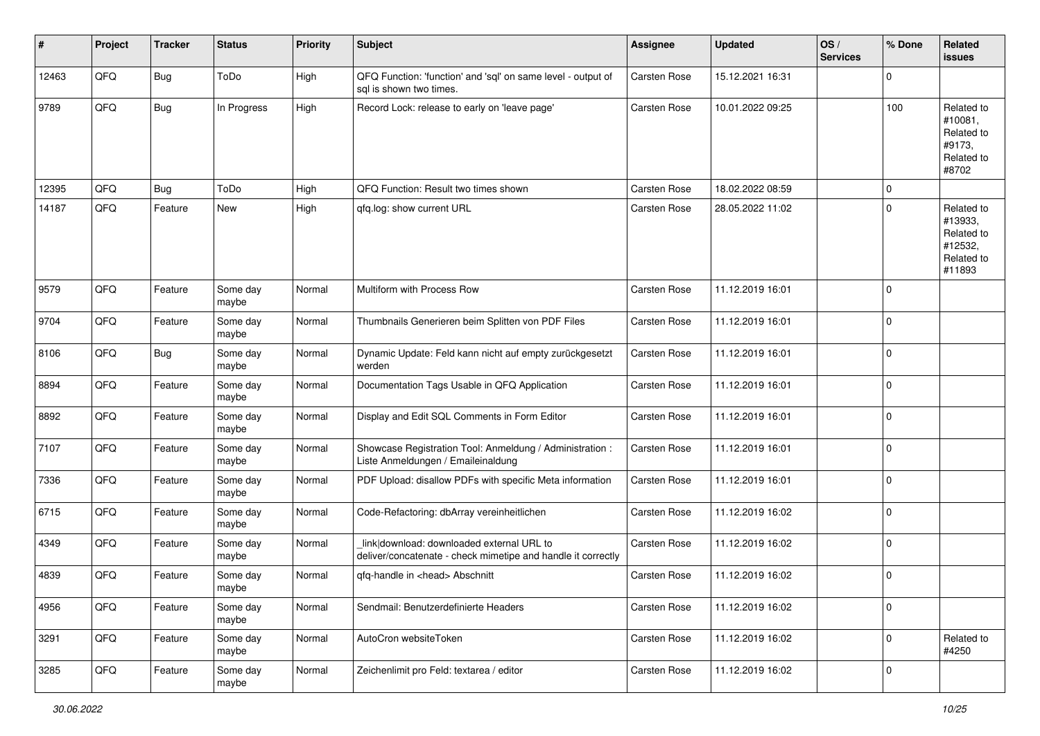| $\sharp$ | Project | <b>Tracker</b> | <b>Status</b>     | <b>Priority</b> | Subject                                                                                                   | <b>Assignee</b>     | <b>Updated</b>   | OS/<br><b>Services</b> | % Done      | Related<br><b>issues</b>                                               |
|----------|---------|----------------|-------------------|-----------------|-----------------------------------------------------------------------------------------------------------|---------------------|------------------|------------------------|-------------|------------------------------------------------------------------------|
| 12463    | QFQ     | Bug            | ToDo              | High            | QFQ Function: 'function' and 'sql' on same level - output of<br>sal is shown two times.                   | Carsten Rose        | 15.12.2021 16:31 |                        | $\Omega$    |                                                                        |
| 9789     | QFQ     | Bug            | In Progress       | High            | Record Lock: release to early on 'leave page'                                                             | <b>Carsten Rose</b> | 10.01.2022 09:25 |                        | 100         | Related to<br>#10081,<br>Related to<br>#9173,<br>Related to<br>#8702   |
| 12395    | QFQ     | <b>Bug</b>     | ToDo              | High            | QFQ Function: Result two times shown                                                                      | <b>Carsten Rose</b> | 18.02.2022 08:59 |                        | $\mathbf 0$ |                                                                        |
| 14187    | QFQ     | Feature        | New               | High            | gfg.log: show current URL                                                                                 | <b>Carsten Rose</b> | 28.05.2022 11:02 |                        | $\Omega$    | Related to<br>#13933,<br>Related to<br>#12532,<br>Related to<br>#11893 |
| 9579     | QFQ     | Feature        | Some day<br>maybe | Normal          | Multiform with Process Row                                                                                | <b>Carsten Rose</b> | 11.12.2019 16:01 |                        | 0           |                                                                        |
| 9704     | QFQ     | Feature        | Some day<br>maybe | Normal          | Thumbnails Generieren beim Splitten von PDF Files                                                         | <b>Carsten Rose</b> | 11.12.2019 16:01 |                        | $\mathbf 0$ |                                                                        |
| 8106     | QFQ     | <b>Bug</b>     | Some day<br>maybe | Normal          | Dynamic Update: Feld kann nicht auf empty zurückgesetzt<br>werden                                         | <b>Carsten Rose</b> | 11.12.2019 16:01 |                        | $\Omega$    |                                                                        |
| 8894     | QFQ     | Feature        | Some day<br>maybe | Normal          | Documentation Tags Usable in QFQ Application                                                              | <b>Carsten Rose</b> | 11.12.2019 16:01 |                        | $\Omega$    |                                                                        |
| 8892     | QFQ     | Feature        | Some day<br>maybe | Normal          | Display and Edit SQL Comments in Form Editor                                                              | <b>Carsten Rose</b> | 11.12.2019 16:01 |                        | $\mathbf 0$ |                                                                        |
| 7107     | QFQ     | Feature        | Some day<br>maybe | Normal          | Showcase Registration Tool: Anmeldung / Administration :<br>Liste Anmeldungen / Emaileinaldung            | Carsten Rose        | 11.12.2019 16:01 |                        | 0           |                                                                        |
| 7336     | QFQ     | Feature        | Some day<br>maybe | Normal          | PDF Upload: disallow PDFs with specific Meta information                                                  | Carsten Rose        | 11.12.2019 16:01 |                        | $\Omega$    |                                                                        |
| 6715     | QFQ     | Feature        | Some day<br>maybe | Normal          | Code-Refactoring: dbArray vereinheitlichen                                                                | <b>Carsten Rose</b> | 11.12.2019 16:02 |                        | $\mathbf 0$ |                                                                        |
| 4349     | QFQ     | Feature        | Some day<br>maybe | Normal          | link download: downloaded external URL to<br>deliver/concatenate - check mimetipe and handle it correctly | Carsten Rose        | 11.12.2019 16:02 |                        | $\mathbf 0$ |                                                                        |
| 4839     | QFQ     | Feature        | Some day<br>maybe | Normal          | qfq-handle in <head> Abschnitt</head>                                                                     | Carsten Rose        | 11.12.2019 16:02 |                        | $\Omega$    |                                                                        |
| 4956     | QFQ     | Feature        | Some day<br>maybe | Normal          | Sendmail: Benutzerdefinierte Headers                                                                      | <b>Carsten Rose</b> | 11.12.2019 16:02 |                        | $\mathbf 0$ |                                                                        |
| 3291     | QFQ     | Feature        | Some day<br>maybe | Normal          | AutoCron websiteToken                                                                                     | Carsten Rose        | 11.12.2019 16:02 |                        | $\mathbf 0$ | Related to<br>#4250                                                    |
| 3285     | QFQ     | Feature        | Some day<br>maybe | Normal          | Zeichenlimit pro Feld: textarea / editor                                                                  | Carsten Rose        | 11.12.2019 16:02 |                        | 0           |                                                                        |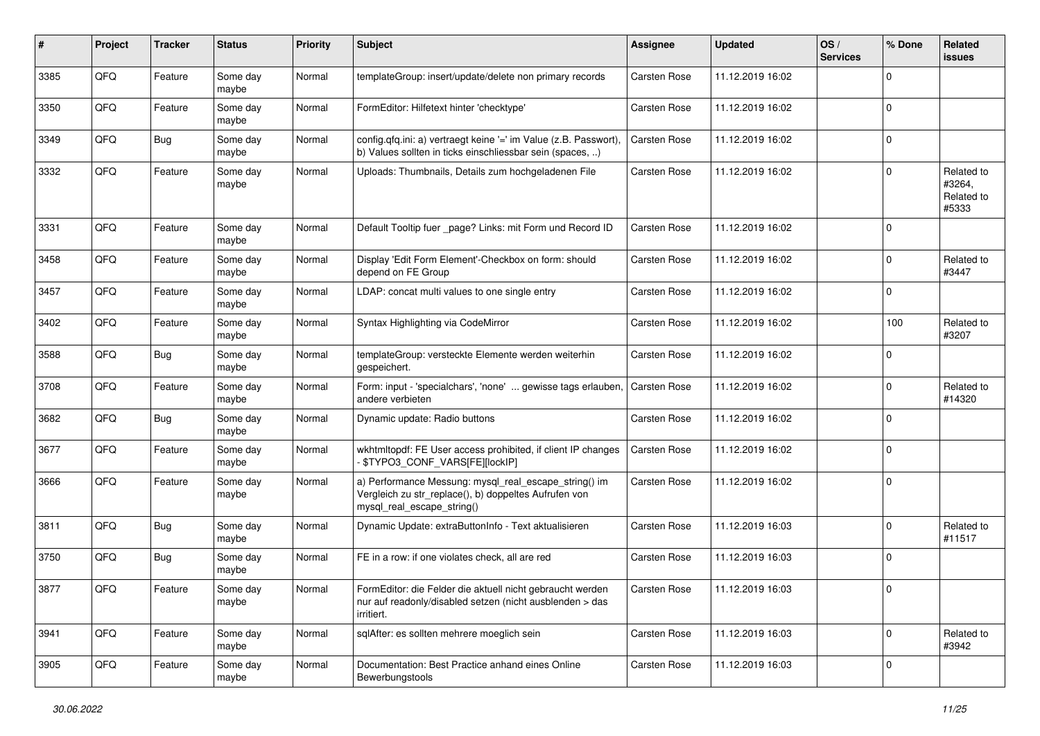| #    | Project | <b>Tracker</b> | <b>Status</b>     | <b>Priority</b> | <b>Subject</b>                                                                                                                               | Assignee            | <b>Updated</b>   | OS/<br><b>Services</b> | % Done      | Related<br><b>issues</b>                    |
|------|---------|----------------|-------------------|-----------------|----------------------------------------------------------------------------------------------------------------------------------------------|---------------------|------------------|------------------------|-------------|---------------------------------------------|
| 3385 | QFQ     | Feature        | Some day<br>maybe | Normal          | templateGroup: insert/update/delete non primary records                                                                                      | Carsten Rose        | 11.12.2019 16:02 |                        | $\Omega$    |                                             |
| 3350 | QFQ     | Feature        | Some day<br>maybe | Normal          | FormEditor: Hilfetext hinter 'checktype'                                                                                                     | Carsten Rose        | 11.12.2019 16:02 |                        | $\mathbf 0$ |                                             |
| 3349 | QFQ     | Bug            | Some day<br>maybe | Normal          | config.qfq.ini: a) vertraegt keine '=' im Value (z.B. Passwort),<br>b) Values sollten in ticks einschliessbar sein (spaces, )                | <b>Carsten Rose</b> | 11.12.2019 16:02 |                        | $\Omega$    |                                             |
| 3332 | QFQ     | Feature        | Some day<br>maybe | Normal          | Uploads: Thumbnails, Details zum hochgeladenen File                                                                                          | Carsten Rose        | 11.12.2019 16:02 |                        | $\Omega$    | Related to<br>#3264,<br>Related to<br>#5333 |
| 3331 | QFQ     | Feature        | Some day<br>maybe | Normal          | Default Tooltip fuer _page? Links: mit Form und Record ID                                                                                    | <b>Carsten Rose</b> | 11.12.2019 16:02 |                        | $\Omega$    |                                             |
| 3458 | QFQ     | Feature        | Some day<br>maybe | Normal          | Display 'Edit Form Element'-Checkbox on form: should<br>depend on FE Group                                                                   | Carsten Rose        | 11.12.2019 16:02 |                        | $\Omega$    | Related to<br>#3447                         |
| 3457 | QFQ     | Feature        | Some day<br>maybe | Normal          | LDAP: concat multi values to one single entry                                                                                                | Carsten Rose        | 11.12.2019 16:02 |                        | $\Omega$    |                                             |
| 3402 | QFQ     | Feature        | Some day<br>maybe | Normal          | Syntax Highlighting via CodeMirror                                                                                                           | Carsten Rose        | 11.12.2019 16:02 |                        | 100         | Related to<br>#3207                         |
| 3588 | QFQ     | <b>Bug</b>     | Some day<br>maybe | Normal          | templateGroup: versteckte Elemente werden weiterhin<br>gespeichert.                                                                          | Carsten Rose        | 11.12.2019 16:02 |                        | $\Omega$    |                                             |
| 3708 | QFQ     | Feature        | Some day<br>maybe | Normal          | Form: input - 'specialchars', 'none'  gewisse tags erlauben,<br>andere verbieten                                                             | <b>Carsten Rose</b> | 11.12.2019 16:02 |                        | $\Omega$    | Related to<br>#14320                        |
| 3682 | QFQ     | Bug            | Some day<br>maybe | Normal          | Dynamic update: Radio buttons                                                                                                                | Carsten Rose        | 11.12.2019 16:02 |                        | $\mathbf 0$ |                                             |
| 3677 | QFQ     | Feature        | Some day<br>maybe | Normal          | wkhtmltopdf: FE User access prohibited, if client IP changes<br>\$TYPO3_CONF_VARS[FE][lockIP]                                                | Carsten Rose        | 11.12.2019 16:02 |                        | $\Omega$    |                                             |
| 3666 | QFQ     | Feature        | Some day<br>maybe | Normal          | a) Performance Messung: mysql_real_escape_string() im<br>Vergleich zu str_replace(), b) doppeltes Aufrufen von<br>mysql_real_escape_string() | Carsten Rose        | 11.12.2019 16:02 |                        | $\Omega$    |                                             |
| 3811 | QFQ     | Bug            | Some day<br>maybe | Normal          | Dynamic Update: extraButtonInfo - Text aktualisieren                                                                                         | Carsten Rose        | 11.12.2019 16:03 |                        | $\Omega$    | Related to<br>#11517                        |
| 3750 | QFQ     | Bug            | Some day<br>maybe | Normal          | FE in a row: if one violates check, all are red                                                                                              | <b>Carsten Rose</b> | 11.12.2019 16:03 |                        | $\Omega$    |                                             |
| 3877 | QFG     | Feature        | Some day<br>maybe | Normal          | FormEditor: die Felder die aktuell nicht gebraucht werden<br>nur auf readonly/disabled setzen (nicht ausblenden > das<br>irritiert.          | Carsten Rose        | 11.12.2019 16:03 |                        | U           |                                             |
| 3941 | QFQ     | Feature        | Some day<br>maybe | Normal          | sqlAfter: es sollten mehrere moeglich sein                                                                                                   | <b>Carsten Rose</b> | 11.12.2019 16:03 |                        | $\mathbf 0$ | Related to<br>#3942                         |
| 3905 | QFQ     | Feature        | Some day<br>maybe | Normal          | Documentation: Best Practice anhand eines Online<br>Bewerbungstools                                                                          | <b>Carsten Rose</b> | 11.12.2019 16:03 |                        | $\mathbf 0$ |                                             |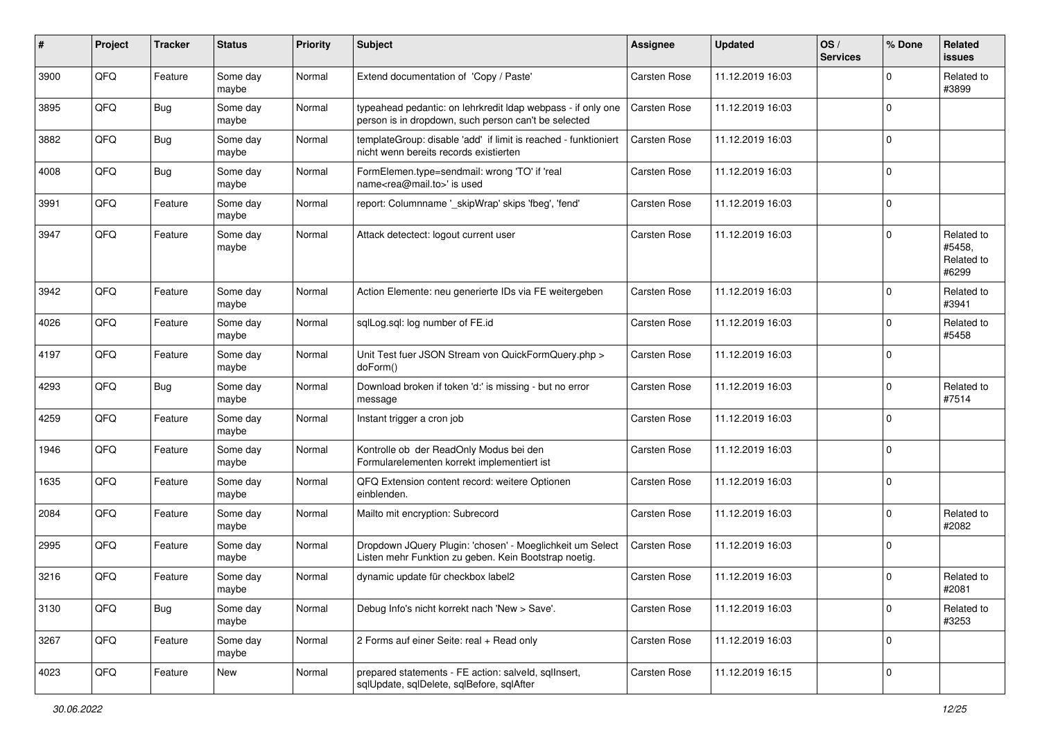| #    | Project | <b>Tracker</b> | <b>Status</b>     | <b>Priority</b> | <b>Subject</b>                                                                                                       | Assignee            | <b>Updated</b>   | OS/<br><b>Services</b> | % Done      | Related<br><b>issues</b>                    |
|------|---------|----------------|-------------------|-----------------|----------------------------------------------------------------------------------------------------------------------|---------------------|------------------|------------------------|-------------|---------------------------------------------|
| 3900 | QFQ     | Feature        | Some day<br>maybe | Normal          | Extend documentation of 'Copy / Paste'                                                                               | <b>Carsten Rose</b> | 11.12.2019 16:03 |                        | $\Omega$    | Related to<br>#3899                         |
| 3895 | QFQ     | Bug            | Some day<br>maybe | Normal          | typeahead pedantic: on lehrkredit Idap webpass - if only one<br>person is in dropdown, such person can't be selected | <b>Carsten Rose</b> | 11.12.2019 16:03 |                        | $\Omega$    |                                             |
| 3882 | QFQ     | <b>Bug</b>     | Some day<br>maybe | Normal          | templateGroup: disable 'add' if limit is reached - funktioniert<br>nicht wenn bereits records existierten            | <b>Carsten Rose</b> | 11.12.2019 16:03 |                        | $\Omega$    |                                             |
| 4008 | QFQ     | Bug            | Some day<br>maybe | Normal          | FormElemen.type=sendmail: wrong 'TO' if 'real<br>name <rea@mail.to>' is used</rea@mail.to>                           | Carsten Rose        | 11.12.2019 16:03 |                        | $\Omega$    |                                             |
| 3991 | QFQ     | Feature        | Some day<br>maybe | Normal          | report: Columnname '_skipWrap' skips 'fbeg', 'fend'                                                                  | Carsten Rose        | 11.12.2019 16:03 |                        | $\mathbf 0$ |                                             |
| 3947 | QFQ     | Feature        | Some day<br>maybe | Normal          | Attack detectect: logout current user                                                                                | Carsten Rose        | 11.12.2019 16:03 |                        | $\Omega$    | Related to<br>#5458,<br>Related to<br>#6299 |
| 3942 | QFQ     | Feature        | Some day<br>maybe | Normal          | Action Elemente: neu generierte IDs via FE weitergeben                                                               | Carsten Rose        | 11.12.2019 16:03 |                        | $\Omega$    | Related to<br>#3941                         |
| 4026 | QFQ     | Feature        | Some day<br>maybe | Normal          | sglLog.sgl: log number of FE.id                                                                                      | Carsten Rose        | 11.12.2019 16:03 |                        | $\Omega$    | Related to<br>#5458                         |
| 4197 | QFQ     | Feature        | Some day<br>maybe | Normal          | Unit Test fuer JSON Stream von QuickFormQuery.php ><br>doForm()                                                      | Carsten Rose        | 11.12.2019 16:03 |                        | $\Omega$    |                                             |
| 4293 | QFQ     | Bug            | Some day<br>maybe | Normal          | Download broken if token 'd:' is missing - but no error<br>message                                                   | <b>Carsten Rose</b> | 11.12.2019 16:03 |                        | $\Omega$    | Related to<br>#7514                         |
| 4259 | QFQ     | Feature        | Some day<br>maybe | Normal          | Instant trigger a cron job                                                                                           | Carsten Rose        | 11.12.2019 16:03 |                        | $\Omega$    |                                             |
| 1946 | QFQ     | Feature        | Some day<br>maybe | Normal          | Kontrolle ob der ReadOnly Modus bei den<br>Formularelementen korrekt implementiert ist                               | Carsten Rose        | 11.12.2019 16:03 |                        | $\Omega$    |                                             |
| 1635 | QFQ     | Feature        | Some day<br>maybe | Normal          | QFQ Extension content record: weitere Optionen<br>einblenden.                                                        | Carsten Rose        | 11.12.2019 16:03 |                        | $\Omega$    |                                             |
| 2084 | QFQ     | Feature        | Some day<br>maybe | Normal          | Mailto mit encryption: Subrecord                                                                                     | Carsten Rose        | 11.12.2019 16:03 |                        | $\Omega$    | Related to<br>#2082                         |
| 2995 | QFQ     | Feature        | Some day<br>maybe | Normal          | Dropdown JQuery Plugin: 'chosen' - Moeglichkeit um Select<br>Listen mehr Funktion zu geben. Kein Bootstrap noetig.   | <b>Carsten Rose</b> | 11.12.2019 16:03 |                        | $\Omega$    |                                             |
| 3216 | QFQ     | Feature        | Some day<br>maybe | Normal          | dynamic update für checkbox label2                                                                                   | <b>Carsten Rose</b> | 11.12.2019 16:03 |                        | $\Omega$    | Related to<br>#2081                         |
| 3130 | QFQ     | <b>Bug</b>     | Some day<br>maybe | Normal          | Debug Info's nicht korrekt nach 'New > Save'.                                                                        | <b>Carsten Rose</b> | 11.12.2019 16:03 |                        | $\Omega$    | Related to<br>#3253                         |
| 3267 | QFG     | Feature        | Some day<br>maybe | Normal          | 2 Forms auf einer Seite: real + Read only                                                                            | Carsten Rose        | 11.12.2019 16:03 |                        | $\mathbf 0$ |                                             |
| 4023 | QFQ     | Feature        | New               | Normal          | prepared statements - FE action: salveld, sqlInsert,<br>sqlUpdate, sqlDelete, sqlBefore, sqlAfter                    | Carsten Rose        | 11.12.2019 16:15 |                        | $\mathbf 0$ |                                             |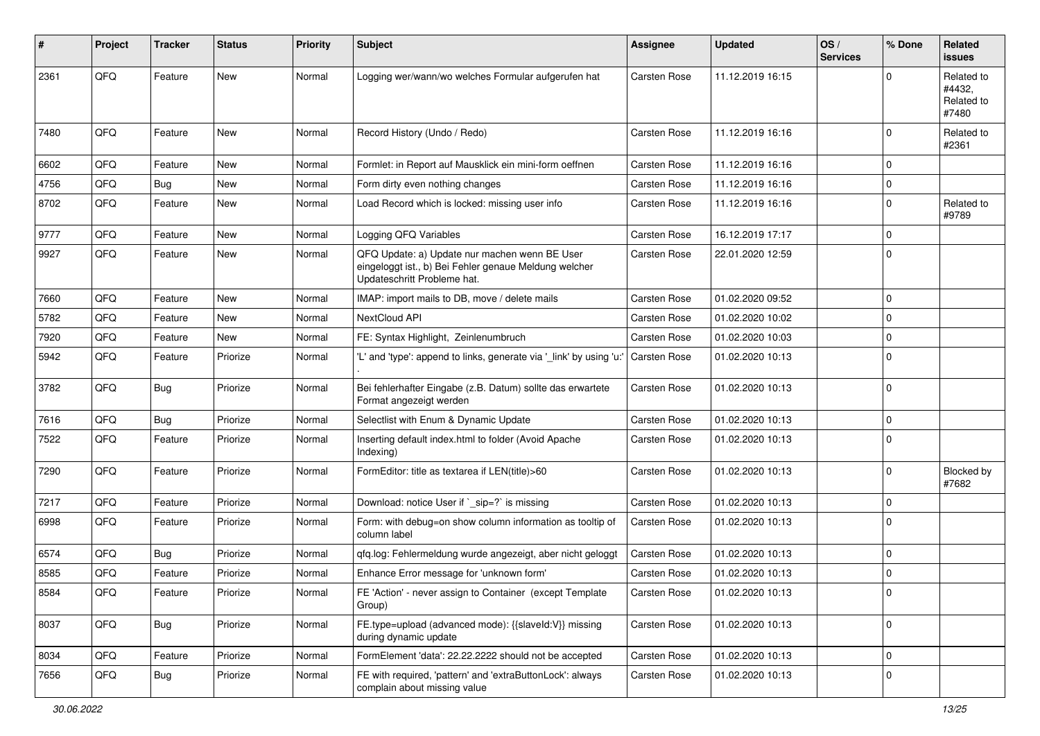| #    | Project | Tracker | <b>Status</b> | <b>Priority</b> | <b>Subject</b>                                                                                                                        | <b>Assignee</b>     | <b>Updated</b>   | OS/<br><b>Services</b> | % Done      | Related<br>issues                           |
|------|---------|---------|---------------|-----------------|---------------------------------------------------------------------------------------------------------------------------------------|---------------------|------------------|------------------------|-------------|---------------------------------------------|
| 2361 | QFQ     | Feature | <b>New</b>    | Normal          | Logging wer/wann/wo welches Formular aufgerufen hat                                                                                   | <b>Carsten Rose</b> | 11.12.2019 16:15 |                        | 0           | Related to<br>#4432.<br>Related to<br>#7480 |
| 7480 | QFQ     | Feature | <b>New</b>    | Normal          | Record History (Undo / Redo)                                                                                                          | <b>Carsten Rose</b> | 11.12.2019 16:16 |                        | $\Omega$    | Related to<br>#2361                         |
| 6602 | QFQ     | Feature | <b>New</b>    | Normal          | Formlet: in Report auf Mausklick ein mini-form oeffnen                                                                                | <b>Carsten Rose</b> | 11.12.2019 16:16 |                        | $\Omega$    |                                             |
| 4756 | QFQ     | Bug     | <b>New</b>    | Normal          | Form dirty even nothing changes                                                                                                       | Carsten Rose        | 11.12.2019 16:16 |                        | $\mathbf 0$ |                                             |
| 8702 | QFQ     | Feature | New           | Normal          | Load Record which is locked: missing user info                                                                                        | <b>Carsten Rose</b> | 11.12.2019 16:16 |                        | $\Omega$    | Related to<br>#9789                         |
| 9777 | QFQ     | Feature | <b>New</b>    | Normal          | Logging QFQ Variables                                                                                                                 | <b>Carsten Rose</b> | 16.12.2019 17:17 |                        | $\Omega$    |                                             |
| 9927 | QFQ     | Feature | New           | Normal          | QFQ Update: a) Update nur machen wenn BE User<br>eingeloggt ist., b) Bei Fehler genaue Meldung welcher<br>Updateschritt Probleme hat. | Carsten Rose        | 22.01.2020 12:59 |                        | $\mathbf 0$ |                                             |
| 7660 | QFQ     | Feature | <b>New</b>    | Normal          | IMAP: import mails to DB, move / delete mails                                                                                         | <b>Carsten Rose</b> | 01.02.2020 09:52 |                        | $\Omega$    |                                             |
| 5782 | QFQ     | Feature | <b>New</b>    | Normal          | NextCloud API                                                                                                                         | <b>Carsten Rose</b> | 01.02.2020 10:02 |                        | $\Omega$    |                                             |
| 7920 | QFQ     | Feature | New           | Normal          | FE: Syntax Highlight, Zeinlenumbruch                                                                                                  | <b>Carsten Rose</b> | 01.02.2020 10:03 |                        | $\Omega$    |                                             |
| 5942 | QFQ     | Feature | Priorize      | Normal          | 'L' and 'type': append to links, generate via '_link' by using 'u:'                                                                   | <b>Carsten Rose</b> | 01.02.2020 10:13 |                        | $\Omega$    |                                             |
| 3782 | QFQ     | Bug     | Priorize      | Normal          | Bei fehlerhafter Eingabe (z.B. Datum) sollte das erwartete<br>Format angezeigt werden                                                 | <b>Carsten Rose</b> | 01.02.2020 10:13 |                        | $\mathbf 0$ |                                             |
| 7616 | QFQ     | Bug     | Priorize      | Normal          | Selectlist with Enum & Dynamic Update                                                                                                 | <b>Carsten Rose</b> | 01.02.2020 10:13 |                        | $\mathbf 0$ |                                             |
| 7522 | QFQ     | Feature | Priorize      | Normal          | Inserting default index.html to folder (Avoid Apache<br>Indexing)                                                                     | Carsten Rose        | 01.02.2020 10:13 |                        | $\Omega$    |                                             |
| 7290 | QFQ     | Feature | Priorize      | Normal          | FormEditor: title as textarea if LEN(title)>60                                                                                        | Carsten Rose        | 01.02.2020 10:13 |                        | $\Omega$    | Blocked by<br>#7682                         |
| 7217 | QFQ     | Feature | Priorize      | Normal          | Download: notice User if `_sip=?` is missing                                                                                          | Carsten Rose        | 01.02.2020 10:13 |                        | 0           |                                             |
| 6998 | QFQ     | Feature | Priorize      | Normal          | Form: with debug=on show column information as tooltip of<br>column label                                                             | <b>Carsten Rose</b> | 01.02.2020 10:13 |                        | $\Omega$    |                                             |
| 6574 | QFQ     | Bug     | Priorize      | Normal          | qfq.log: Fehlermeldung wurde angezeigt, aber nicht geloggt                                                                            | <b>Carsten Rose</b> | 01.02.2020 10:13 |                        | $\Omega$    |                                             |
| 8585 | QFQ     | Feature | Priorize      | Normal          | Enhance Error message for 'unknown form'                                                                                              | Carsten Rose        | 01.02.2020 10:13 |                        | $\Omega$    |                                             |
| 8584 | QFQ     | Feature | Priorize      | Normal          | FE 'Action' - never assign to Container (except Template<br>Group)                                                                    | Carsten Rose        | 01.02.2020 10:13 |                        | 0           |                                             |
| 8037 | QFQ     | Bug     | Priorize      | Normal          | FE.type=upload (advanced mode): {{slaveId:V}} missing<br>during dynamic update                                                        | Carsten Rose        | 01.02.2020 10:13 |                        | $\mathbf 0$ |                                             |
| 8034 | QFQ     | Feature | Priorize      | Normal          | FormElement 'data': 22.22.2222 should not be accepted                                                                                 | Carsten Rose        | 01.02.2020 10:13 |                        | $\mathbf 0$ |                                             |
| 7656 | QFQ     | Bug     | Priorize      | Normal          | FE with required, 'pattern' and 'extraButtonLock': always<br>complain about missing value                                             | Carsten Rose        | 01.02.2020 10:13 |                        | $\mathbf 0$ |                                             |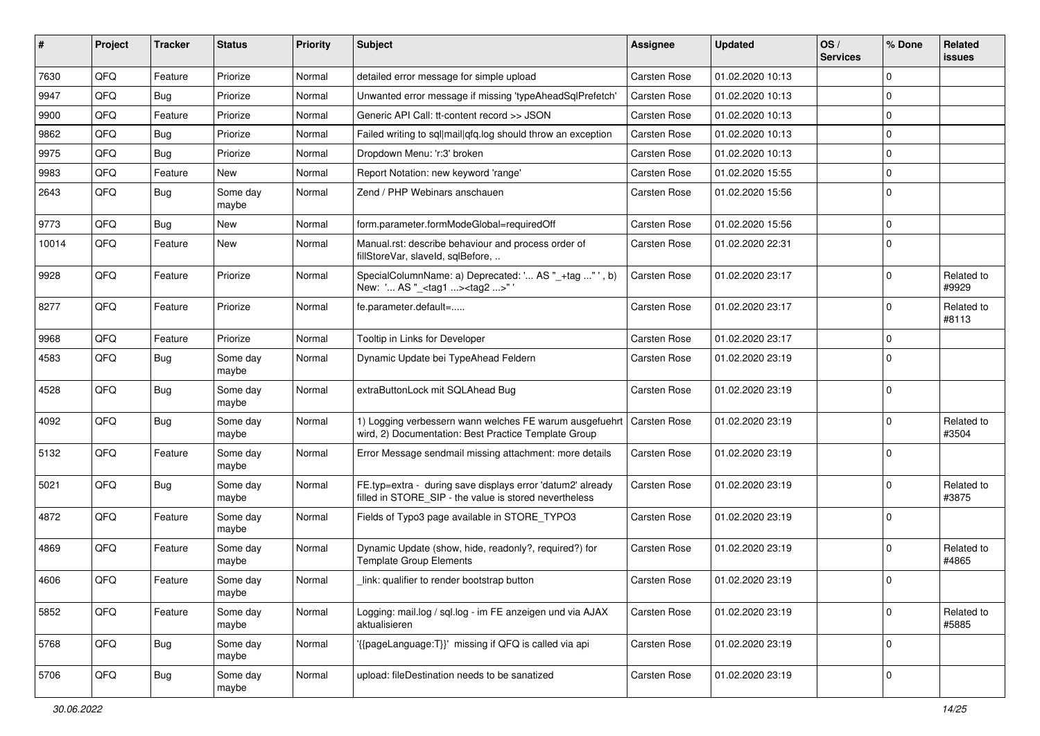| ∦     | Project | <b>Tracker</b> | <b>Status</b>     | <b>Priority</b> | <b>Subject</b>                                                                                                       | <b>Assignee</b>     | <b>Updated</b>   | OS/<br><b>Services</b> | % Done      | Related<br>issues   |
|-------|---------|----------------|-------------------|-----------------|----------------------------------------------------------------------------------------------------------------------|---------------------|------------------|------------------------|-------------|---------------------|
| 7630  | QFQ     | Feature        | Priorize          | Normal          | detailed error message for simple upload                                                                             | Carsten Rose        | 01.02.2020 10:13 |                        | $\Omega$    |                     |
| 9947  | QFQ     | Bug            | Priorize          | Normal          | Unwanted error message if missing 'typeAheadSqlPrefetch'                                                             | <b>Carsten Rose</b> | 01.02.2020 10:13 |                        | 0           |                     |
| 9900  | QFQ     | Feature        | Priorize          | Normal          | Generic API Call: tt-content record >> JSON                                                                          | Carsten Rose        | 01.02.2020 10:13 |                        | $\Omega$    |                     |
| 9862  | QFQ     | Bug            | Priorize          | Normal          | Failed writing to sql mail qfq.log should throw an exception                                                         | Carsten Rose        | 01.02.2020 10:13 |                        | 0           |                     |
| 9975  | QFQ     | Bug            | Priorize          | Normal          | Dropdown Menu: 'r:3' broken                                                                                          | <b>Carsten Rose</b> | 01.02.2020 10:13 |                        | 0           |                     |
| 9983  | QFQ     | Feature        | New               | Normal          | Report Notation: new keyword 'range'                                                                                 | <b>Carsten Rose</b> | 01.02.2020 15:55 |                        | 0           |                     |
| 2643  | QFQ     | <b>Bug</b>     | Some day<br>maybe | Normal          | Zend / PHP Webinars anschauen                                                                                        | Carsten Rose        | 01.02.2020 15:56 |                        | $\mathbf 0$ |                     |
| 9773  | QFQ     | Bug            | <b>New</b>        | Normal          | form.parameter.formModeGlobal=requiredOff                                                                            | <b>Carsten Rose</b> | 01.02.2020 15:56 |                        | $\mathbf 0$ |                     |
| 10014 | QFQ     | Feature        | New               | Normal          | Manual.rst: describe behaviour and process order of<br>fillStoreVar, slaveId, sqlBefore,                             | <b>Carsten Rose</b> | 01.02.2020 22:31 |                        | $\Omega$    |                     |
| 9928  | QFQ     | Feature        | Priorize          | Normal          | SpecialColumnName: a) Deprecated: ' AS "_+tag "', b)<br>New: ' AS "_ <tag1><tag2>" '</tag2></tag1>                   | <b>Carsten Rose</b> | 01.02.2020 23:17 |                        | $\Omega$    | Related to<br>#9929 |
| 8277  | QFQ     | Feature        | Priorize          | Normal          | fe.parameter.default=                                                                                                | <b>Carsten Rose</b> | 01.02.2020 23:17 |                        | $\Omega$    | Related to<br>#8113 |
| 9968  | QFQ     | Feature        | Priorize          | Normal          | Tooltip in Links for Developer                                                                                       | <b>Carsten Rose</b> | 01.02.2020 23:17 |                        | $\Omega$    |                     |
| 4583  | QFQ     | Bug            | Some day<br>maybe | Normal          | Dynamic Update bei TypeAhead Feldern                                                                                 | <b>Carsten Rose</b> | 01.02.2020 23:19 |                        | $\mathbf 0$ |                     |
| 4528  | QFQ     | Bug            | Some day<br>maybe | Normal          | extraButtonLock mit SQLAhead Bug                                                                                     | <b>Carsten Rose</b> | 01.02.2020 23:19 |                        | $\mathbf 0$ |                     |
| 4092  | QFQ     | Bug            | Some day<br>maybe | Normal          | 1) Logging verbessern wann welches FE warum ausgefuehrt<br>wird, 2) Documentation: Best Practice Template Group      | Carsten Rose        | 01.02.2020 23:19 |                        | $\Omega$    | Related to<br>#3504 |
| 5132  | QFQ     | Feature        | Some day<br>maybe | Normal          | Error Message sendmail missing attachment: more details                                                              | <b>Carsten Rose</b> | 01.02.2020 23:19 |                        | $\Omega$    |                     |
| 5021  | QFQ     | Bug            | Some day<br>maybe | Normal          | FE.typ=extra - during save displays error 'datum2' already<br>filled in STORE SIP - the value is stored nevertheless | <b>Carsten Rose</b> | 01.02.2020 23:19 |                        | $\Omega$    | Related to<br>#3875 |
| 4872  | QFQ     | Feature        | Some day<br>maybe | Normal          | Fields of Typo3 page available in STORE TYPO3                                                                        | <b>Carsten Rose</b> | 01.02.2020 23:19 |                        | $\Omega$    |                     |
| 4869  | QFQ     | Feature        | Some day<br>maybe | Normal          | Dynamic Update (show, hide, readonly?, required?) for<br><b>Template Group Elements</b>                              | <b>Carsten Rose</b> | 01.02.2020 23:19 |                        | 0           | Related to<br>#4865 |
| 4606  | QFQ     | Feature        | Some day<br>maybe | Normal          | link: qualifier to render bootstrap button                                                                           | <b>Carsten Rose</b> | 01.02.2020 23:19 |                        | $\mathbf 0$ |                     |
| 5852  | QFQ     | Feature        | Some day<br>maybe | Normal          | Logging: mail.log / sql.log - im FE anzeigen und via AJAX<br>aktualisieren                                           | Carsten Rose        | 01.02.2020 23:19 |                        | $\mathbf 0$ | Related to<br>#5885 |
| 5768  | QFQ     | Bug            | Some day<br>maybe | Normal          | '{{pageLanguage:T}}' missing if QFQ is called via api                                                                | Carsten Rose        | 01.02.2020 23:19 |                        | $\mathbf 0$ |                     |
| 5706  | QFQ     | Bug            | Some day<br>maybe | Normal          | upload: fileDestination needs to be sanatized                                                                        | Carsten Rose        | 01.02.2020 23:19 |                        | 0           |                     |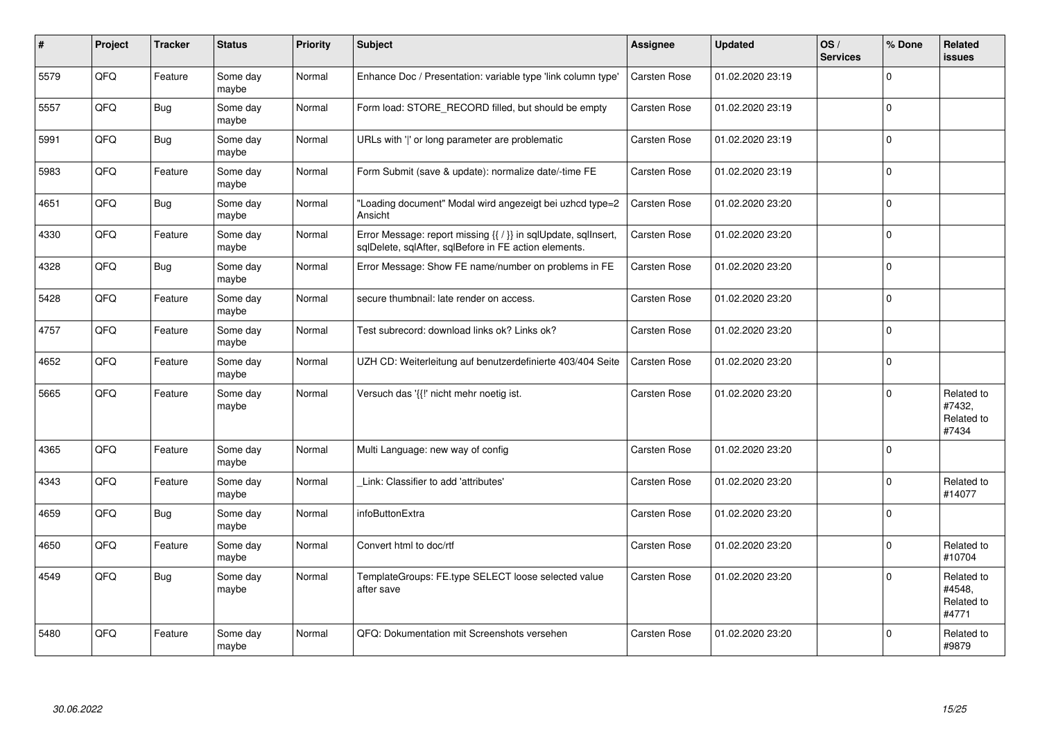| #    | Project | <b>Tracker</b> | <b>Status</b>     | <b>Priority</b> | <b>Subject</b>                                                                                                          | Assignee            | <b>Updated</b>   | OS/<br><b>Services</b> | % Done      | Related<br><b>issues</b>                    |
|------|---------|----------------|-------------------|-----------------|-------------------------------------------------------------------------------------------------------------------------|---------------------|------------------|------------------------|-------------|---------------------------------------------|
| 5579 | QFQ     | Feature        | Some day<br>maybe | Normal          | Enhance Doc / Presentation: variable type 'link column type'                                                            | Carsten Rose        | 01.02.2020 23:19 |                        | $\Omega$    |                                             |
| 5557 | QFQ     | <b>Bug</b>     | Some day<br>maybe | Normal          | Form load: STORE RECORD filled, but should be empty                                                                     | Carsten Rose        | 01.02.2020 23:19 |                        | $\Omega$    |                                             |
| 5991 | QFQ     | Bug            | Some day<br>maybe | Normal          | URLs with ' ' or long parameter are problematic                                                                         | Carsten Rose        | 01.02.2020 23:19 |                        | $\Omega$    |                                             |
| 5983 | QFQ     | Feature        | Some day<br>maybe | Normal          | Form Submit (save & update): normalize date/-time FE                                                                    | <b>Carsten Rose</b> | 01.02.2020 23:19 |                        | $\Omega$    |                                             |
| 4651 | QFQ     | Bug            | Some day<br>maybe | Normal          | "Loading document" Modal wird angezeigt bei uzhcd type=2<br>Ansicht                                                     | <b>Carsten Rose</b> | 01.02.2020 23:20 |                        | $\Omega$    |                                             |
| 4330 | QFQ     | Feature        | Some day<br>maybe | Normal          | Error Message: report missing {{ / }} in sqlUpdate, sqlInsert,<br>sqlDelete, sqlAfter, sqlBefore in FE action elements. | <b>Carsten Rose</b> | 01.02.2020 23:20 |                        | $\Omega$    |                                             |
| 4328 | QFQ     | <b>Bug</b>     | Some day<br>maybe | Normal          | Error Message: Show FE name/number on problems in FE                                                                    | <b>Carsten Rose</b> | 01.02.2020 23:20 |                        | $\Omega$    |                                             |
| 5428 | QFQ     | Feature        | Some day<br>maybe | Normal          | secure thumbnail: late render on access.                                                                                | <b>Carsten Rose</b> | 01.02.2020 23:20 |                        | $\Omega$    |                                             |
| 4757 | QFQ     | Feature        | Some day<br>maybe | Normal          | Test subrecord: download links ok? Links ok?                                                                            | <b>Carsten Rose</b> | 01.02.2020 23:20 |                        | $\Omega$    |                                             |
| 4652 | QFQ     | Feature        | Some day<br>maybe | Normal          | UZH CD: Weiterleitung auf benutzerdefinierte 403/404 Seite                                                              | Carsten Rose        | 01.02.2020 23:20 |                        | $\mathbf 0$ |                                             |
| 5665 | QFQ     | Feature        | Some day<br>maybe | Normal          | Versuch das '{{!' nicht mehr noetig ist.                                                                                | Carsten Rose        | 01.02.2020 23:20 |                        | $\Omega$    | Related to<br>#7432,<br>Related to<br>#7434 |
| 4365 | QFQ     | Feature        | Some day<br>maybe | Normal          | Multi Language: new way of config                                                                                       | <b>Carsten Rose</b> | 01.02.2020 23:20 |                        | $\Omega$    |                                             |
| 4343 | QFQ     | Feature        | Some day<br>maybe | Normal          | Link: Classifier to add 'attributes'                                                                                    | <b>Carsten Rose</b> | 01.02.2020 23:20 |                        | $\Omega$    | Related to<br>#14077                        |
| 4659 | QFQ     | Bug            | Some day<br>maybe | Normal          | infoButtonExtra                                                                                                         | Carsten Rose        | 01.02.2020 23:20 |                        | $\mathbf 0$ |                                             |
| 4650 | QFQ     | Feature        | Some day<br>maybe | Normal          | Convert html to doc/rtf                                                                                                 | <b>Carsten Rose</b> | 01.02.2020 23:20 |                        | $\Omega$    | Related to<br>#10704                        |
| 4549 | QFQ     | <b>Bug</b>     | Some day<br>maybe | Normal          | TemplateGroups: FE.type SELECT loose selected value<br>after save                                                       | Carsten Rose        | 01.02.2020 23:20 |                        | $\Omega$    | Related to<br>#4548,<br>Related to<br>#4771 |
| 5480 | QFQ     | Feature        | Some day<br>maybe | Normal          | QFQ: Dokumentation mit Screenshots versehen                                                                             | Carsten Rose        | 01.02.2020 23:20 |                        | $\Omega$    | Related to<br>#9879                         |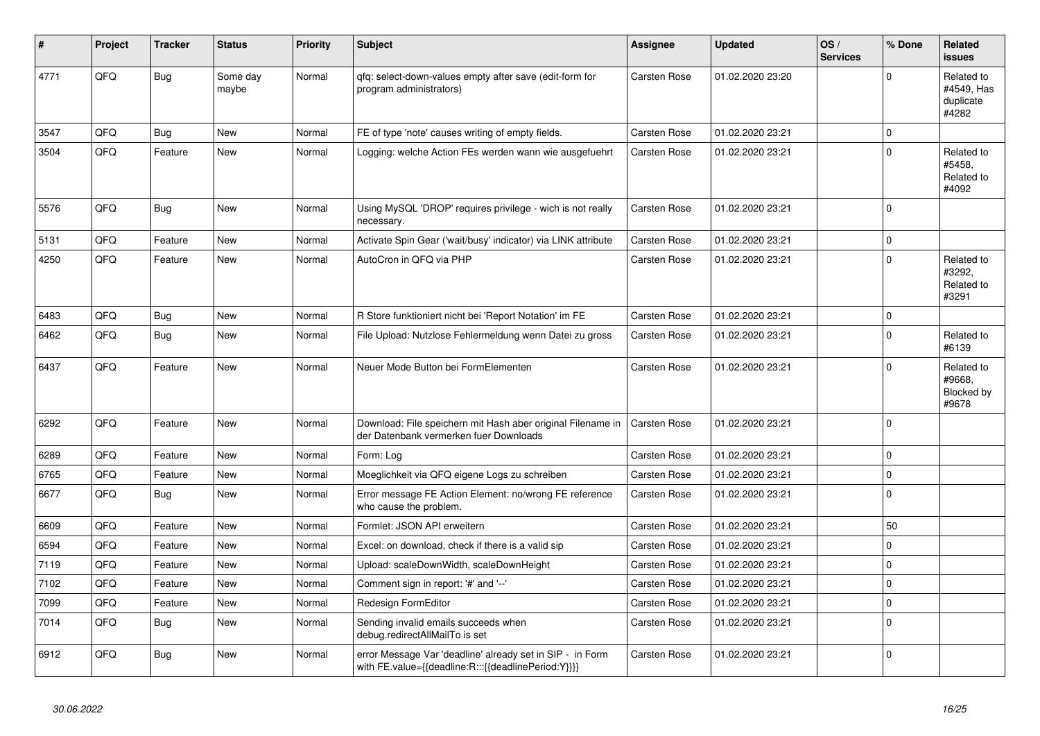| ∦    | Project | <b>Tracker</b> | <b>Status</b>     | <b>Priority</b> | <b>Subject</b>                                                                                                   | Assignee            | <b>Updated</b>   | OS/<br><b>Services</b> | % Done      | Related<br><b>issues</b>                       |
|------|---------|----------------|-------------------|-----------------|------------------------------------------------------------------------------------------------------------------|---------------------|------------------|------------------------|-------------|------------------------------------------------|
| 4771 | QFQ     | Bug            | Some day<br>maybe | Normal          | qfq: select-down-values empty after save (edit-form for<br>program administrators)                               | <b>Carsten Rose</b> | 01.02.2020 23:20 |                        | $\Omega$    | Related to<br>#4549, Has<br>duplicate<br>#4282 |
| 3547 | QFQ     | <b>Bug</b>     | <b>New</b>        | Normal          | FE of type 'note' causes writing of empty fields.                                                                | Carsten Rose        | 01.02.2020 23:21 |                        | $\Omega$    |                                                |
| 3504 | QFQ     | Feature        | New               | Normal          | Logging: welche Action FEs werden wann wie ausgefuehrt                                                           | <b>Carsten Rose</b> | 01.02.2020 23:21 |                        | $\Omega$    | Related to<br>#5458,<br>Related to<br>#4092    |
| 5576 | QFQ     | <b>Bug</b>     | New               | Normal          | Using MySQL 'DROP' requires privilege - wich is not really<br>necessary.                                         | Carsten Rose        | 01.02.2020 23:21 |                        | $\Omega$    |                                                |
| 5131 | QFQ     | Feature        | <b>New</b>        | Normal          | Activate Spin Gear ('wait/busy' indicator) via LINK attribute                                                    | <b>Carsten Rose</b> | 01.02.2020 23:21 |                        | $\Omega$    |                                                |
| 4250 | QFQ     | Feature        | New               | Normal          | AutoCron in QFQ via PHP                                                                                          | Carsten Rose        | 01.02.2020 23:21 |                        | $\Omega$    | Related to<br>#3292,<br>Related to<br>#3291    |
| 6483 | QFQ     | <b>Bug</b>     | <b>New</b>        | Normal          | R Store funktioniert nicht bei 'Report Notation' im FE                                                           | Carsten Rose        | 01.02.2020 23:21 |                        | $\mathbf 0$ |                                                |
| 6462 | QFQ     | Bug            | <b>New</b>        | Normal          | File Upload: Nutzlose Fehlermeldung wenn Datei zu gross                                                          | Carsten Rose        | 01.02.2020 23:21 |                        | $\Omega$    | Related to<br>#6139                            |
| 6437 | QFQ     | Feature        | New               | Normal          | Neuer Mode Button bei FormElementen                                                                              | Carsten Rose        | 01.02.2020 23:21 |                        | $\Omega$    | Related to<br>#9668,<br>Blocked by<br>#9678    |
| 6292 | QFQ     | Feature        | <b>New</b>        | Normal          | Download: File speichern mit Hash aber original Filename in<br>der Datenbank vermerken fuer Downloads            | <b>Carsten Rose</b> | 01.02.2020 23:21 |                        | $\Omega$    |                                                |
| 6289 | QFQ     | Feature        | <b>New</b>        | Normal          | Form: Log                                                                                                        | Carsten Rose        | 01.02.2020 23:21 |                        | $\Omega$    |                                                |
| 6765 | QFQ     | Feature        | New               | Normal          | Moeglichkeit via QFQ eigene Logs zu schreiben                                                                    | Carsten Rose        | 01.02.2020 23:21 |                        | $\mathbf 0$ |                                                |
| 6677 | QFQ     | Bug            | <b>New</b>        | Normal          | Error message FE Action Element: no/wrong FE reference<br>who cause the problem.                                 | Carsten Rose        | 01.02.2020 23:21 |                        | $\Omega$    |                                                |
| 6609 | QFQ     | Feature        | New               | Normal          | Formlet: JSON API erweitern                                                                                      | Carsten Rose        | 01.02.2020 23:21 |                        | 50          |                                                |
| 6594 | QFQ     | Feature        | <b>New</b>        | Normal          | Excel: on download, check if there is a valid sip                                                                | Carsten Rose        | 01.02.2020 23:21 |                        | $\Omega$    |                                                |
| 7119 | QFQ     | Feature        | New               | Normal          | Upload: scaleDownWidth, scaleDownHeight                                                                          | Carsten Rose        | 01.02.2020 23:21 |                        | $\mathbf 0$ |                                                |
| 7102 | QFQ     | Feature        | <b>New</b>        | Normal          | Comment sign in report: '#' and '--'                                                                             | Carsten Rose        | 01.02.2020 23:21 |                        | $\Omega$    |                                                |
| 7099 | QFQ     | Feature        | <b>New</b>        | Normal          | Redesign FormEditor                                                                                              | Carsten Rose        | 01.02.2020 23:21 |                        | $\Omega$    |                                                |
| 7014 | QFQ     | Bug            | <b>New</b>        | Normal          | Sending invalid emails succeeds when<br>debug.redirectAllMailTo is set                                           | Carsten Rose        | 01.02.2020 23:21 |                        | $\Omega$    |                                                |
| 6912 | QFQ     | Bug            | New               | Normal          | error Message Var 'deadline' already set in SIP - in Form<br>with FE.value={{deadline:R:::{{deadlinePeriod:Y}}}} | Carsten Rose        | 01.02.2020 23:21 |                        | $\Omega$    |                                                |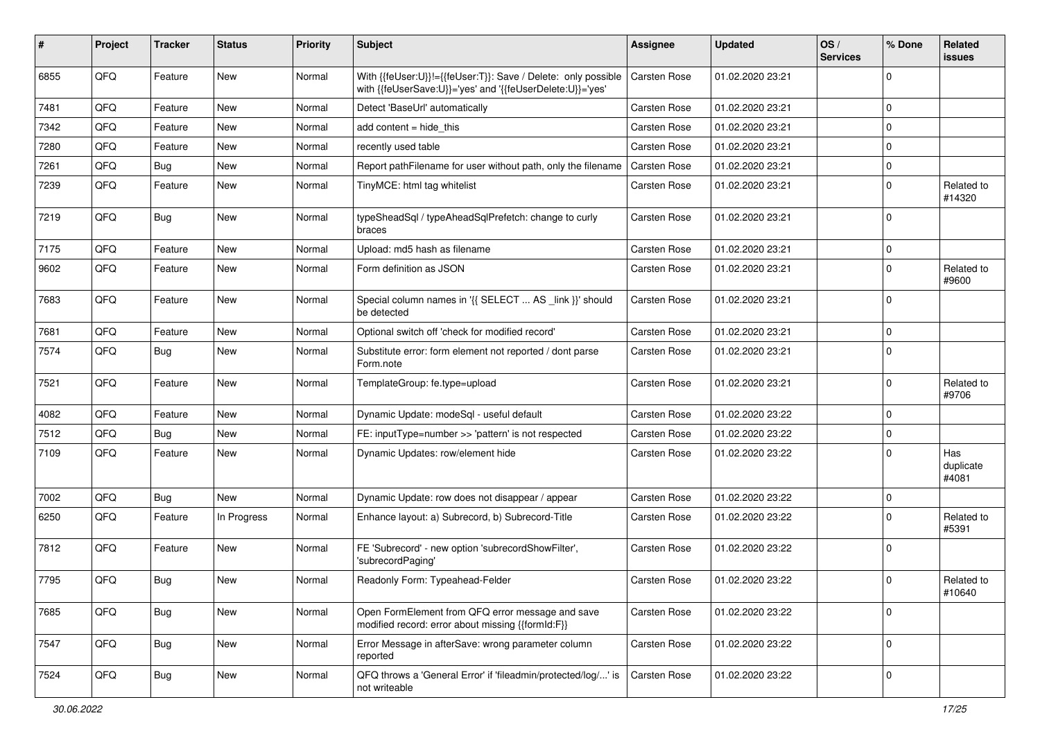| #    | Project | <b>Tracker</b> | <b>Status</b> | <b>Priority</b> | Subject                                                                                                                    | <b>Assignee</b>     | <b>Updated</b>   | OS/<br><b>Services</b> | % Done      | Related<br>issues         |
|------|---------|----------------|---------------|-----------------|----------------------------------------------------------------------------------------------------------------------------|---------------------|------------------|------------------------|-------------|---------------------------|
| 6855 | QFQ     | Feature        | New           | Normal          | With {{feUser:U}}!={{feUser:T}}: Save / Delete: only possible<br>with {{feUserSave:U}}='yes' and '{{feUserDelete:U}}='yes' | <b>Carsten Rose</b> | 01.02.2020 23:21 |                        | $\Omega$    |                           |
| 7481 | QFQ     | Feature        | <b>New</b>    | Normal          | Detect 'BaseUrl' automatically                                                                                             | <b>Carsten Rose</b> | 01.02.2020 23:21 |                        | $\mathbf 0$ |                           |
| 7342 | QFQ     | Feature        | New           | Normal          | add content $=$ hide this                                                                                                  | <b>Carsten Rose</b> | 01.02.2020 23:21 |                        | $\mathbf 0$ |                           |
| 7280 | QFQ     | Feature        | New           | Normal          | recently used table                                                                                                        | <b>Carsten Rose</b> | 01.02.2020 23:21 |                        | $\mathbf 0$ |                           |
| 7261 | QFQ     | <b>Bug</b>     | New           | Normal          | Report pathFilename for user without path, only the filename                                                               | <b>Carsten Rose</b> | 01.02.2020 23:21 |                        | $\mathbf 0$ |                           |
| 7239 | QFQ     | Feature        | New           | Normal          | TinyMCE: html tag whitelist                                                                                                | <b>Carsten Rose</b> | 01.02.2020 23:21 |                        | $\mathbf 0$ | Related to<br>#14320      |
| 7219 | QFQ     | Bug            | <b>New</b>    | Normal          | typeSheadSql / typeAheadSqlPrefetch: change to curly<br>braces                                                             | <b>Carsten Rose</b> | 01.02.2020 23:21 |                        | 0           |                           |
| 7175 | QFQ     | Feature        | <b>New</b>    | Normal          | Upload: md5 hash as filename                                                                                               | <b>Carsten Rose</b> | 01.02.2020 23:21 |                        | $\mathbf 0$ |                           |
| 9602 | QFQ     | Feature        | New           | Normal          | Form definition as JSON                                                                                                    | <b>Carsten Rose</b> | 01.02.2020 23:21 |                        | 0           | Related to<br>#9600       |
| 7683 | QFQ     | Feature        | New           | Normal          | Special column names in '{{ SELECT  AS _link }}' should<br>be detected                                                     | <b>Carsten Rose</b> | 01.02.2020 23:21 |                        | 0           |                           |
| 7681 | QFQ     | Feature        | New           | Normal          | Optional switch off 'check for modified record'                                                                            | <b>Carsten Rose</b> | 01.02.2020 23:21 |                        | $\mathbf 0$ |                           |
| 7574 | QFQ     | <b>Bug</b>     | New           | Normal          | Substitute error: form element not reported / dont parse<br>Form.note                                                      | <b>Carsten Rose</b> | 01.02.2020 23:21 |                        | $\Omega$    |                           |
| 7521 | QFQ     | Feature        | <b>New</b>    | Normal          | TemplateGroup: fe.type=upload                                                                                              | Carsten Rose        | 01.02.2020 23:21 |                        | $\Omega$    | Related to<br>#9706       |
| 4082 | QFQ     | Feature        | New           | Normal          | Dynamic Update: modeSql - useful default                                                                                   | <b>Carsten Rose</b> | 01.02.2020 23:22 |                        | $\mathbf 0$ |                           |
| 7512 | QFQ     | <b>Bug</b>     | New           | Normal          | FE: inputType=number >> 'pattern' is not respected                                                                         | <b>Carsten Rose</b> | 01.02.2020 23:22 |                        | $\mathbf 0$ |                           |
| 7109 | QFQ     | Feature        | <b>New</b>    | Normal          | Dynamic Updates: row/element hide                                                                                          | <b>Carsten Rose</b> | 01.02.2020 23:22 |                        | $\Omega$    | Has<br>duplicate<br>#4081 |
| 7002 | QFQ     | Bug            | <b>New</b>    | Normal          | Dynamic Update: row does not disappear / appear                                                                            | <b>Carsten Rose</b> | 01.02.2020 23:22 |                        | $\mathbf 0$ |                           |
| 6250 | QFQ     | Feature        | In Progress   | Normal          | Enhance layout: a) Subrecord, b) Subrecord-Title                                                                           | <b>Carsten Rose</b> | 01.02.2020 23:22 |                        | $\Omega$    | Related to<br>#5391       |
| 7812 | QFQ     | Feature        | New           | Normal          | FE 'Subrecord' - new option 'subrecordShowFilter',<br>'subrecordPaging'                                                    | <b>Carsten Rose</b> | 01.02.2020 23:22 |                        | $\mathbf 0$ |                           |
| 7795 | QFQ     | Bug            | New           | Normal          | Readonly Form: Typeahead-Felder                                                                                            | <b>Carsten Rose</b> | 01.02.2020 23:22 |                        | $\mathbf 0$ | Related to<br>#10640      |
| 7685 | QFQ     | <b>Bug</b>     | New           | Normal          | Open FormElement from QFQ error message and save<br>modified record: error about missing {{formId:F}}                      | Carsten Rose        | 01.02.2020 23:22 |                        | $\mathbf 0$ |                           |
| 7547 | QFQ     | Bug            | New           | Normal          | Error Message in afterSave: wrong parameter column<br>reported                                                             | Carsten Rose        | 01.02.2020 23:22 |                        | $\mathbf 0$ |                           |
| 7524 | QFQ     | <b>Bug</b>     | New           | Normal          | QFQ throws a 'General Error' if 'fileadmin/protected/log/' is<br>not writeable                                             | Carsten Rose        | 01.02.2020 23:22 |                        | 0           |                           |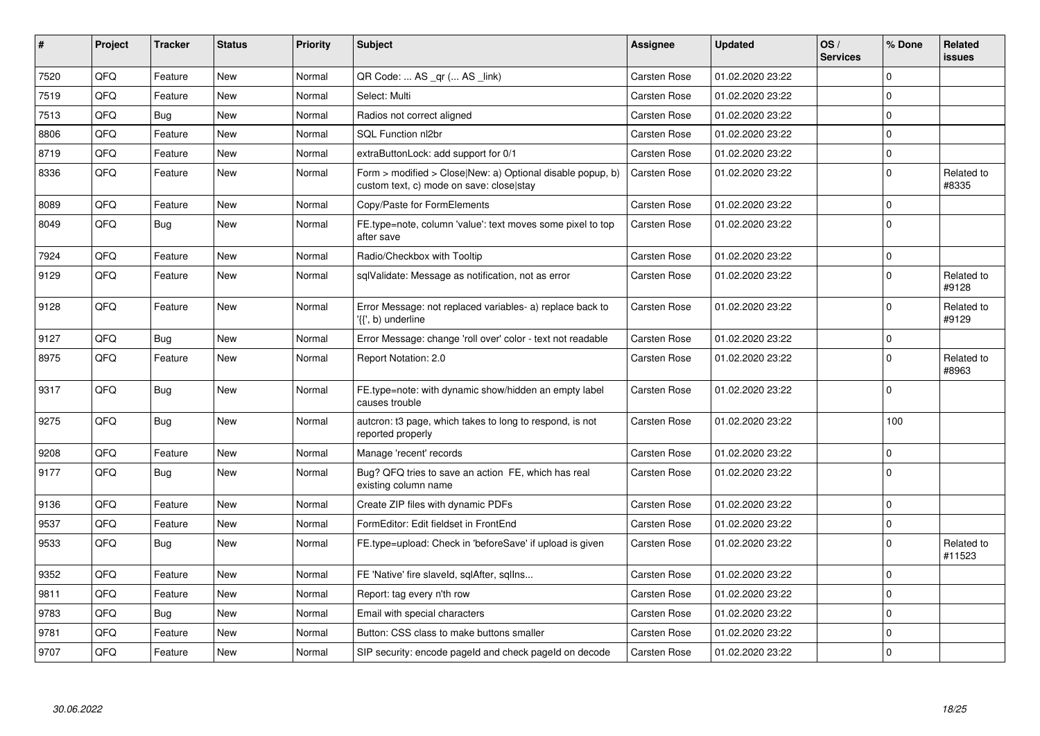| #    | Project | <b>Tracker</b> | <b>Status</b> | <b>Priority</b> | <b>Subject</b>                                                                                         | Assignee            | <b>Updated</b>   | OS/<br><b>Services</b> | % Done      | Related<br>issues    |
|------|---------|----------------|---------------|-----------------|--------------------------------------------------------------------------------------------------------|---------------------|------------------|------------------------|-------------|----------------------|
| 7520 | QFQ     | Feature        | <b>New</b>    | Normal          | QR Code:  AS _qr ( AS _link)                                                                           | Carsten Rose        | 01.02.2020 23:22 |                        | $\Omega$    |                      |
| 7519 | QFQ     | Feature        | <b>New</b>    | Normal          | Select: Multi                                                                                          | Carsten Rose        | 01.02.2020 23:22 |                        | $\Omega$    |                      |
| 7513 | QFQ     | Bug            | <b>New</b>    | Normal          | Radios not correct aligned                                                                             | Carsten Rose        | 01.02.2020 23:22 |                        | $\Omega$    |                      |
| 8806 | QFQ     | Feature        | New           | Normal          | SQL Function nl2br                                                                                     | <b>Carsten Rose</b> | 01.02.2020 23:22 |                        | $\Omega$    |                      |
| 8719 | QFQ     | Feature        | <b>New</b>    | Normal          | extraButtonLock: add support for 0/1                                                                   | <b>Carsten Rose</b> | 01.02.2020 23:22 |                        | $\Omega$    |                      |
| 8336 | QFQ     | Feature        | <b>New</b>    | Normal          | Form > modified > Close New: a) Optional disable popup, b)<br>custom text, c) mode on save: closelstay | <b>Carsten Rose</b> | 01.02.2020 23:22 |                        | $\Omega$    | Related to<br>#8335  |
| 8089 | QFQ     | Feature        | <b>New</b>    | Normal          | Copy/Paste for FormElements                                                                            | <b>Carsten Rose</b> | 01.02.2020 23:22 |                        | $\Omega$    |                      |
| 8049 | QFQ     | Bug            | <b>New</b>    | Normal          | FE.type=note, column 'value': text moves some pixel to top<br>after save                               | <b>Carsten Rose</b> | 01.02.2020 23:22 |                        | $\Omega$    |                      |
| 7924 | QFQ     | Feature        | <b>New</b>    | Normal          | Radio/Checkbox with Tooltip                                                                            | <b>Carsten Rose</b> | 01.02.2020 23:22 |                        | 0           |                      |
| 9129 | QFQ     | Feature        | <b>New</b>    | Normal          | sqlValidate: Message as notification, not as error                                                     | <b>Carsten Rose</b> | 01.02.2020 23:22 |                        | $\Omega$    | Related to<br>#9128  |
| 9128 | QFQ     | Feature        | <b>New</b>    | Normal          | Error Message: not replaced variables- a) replace back to<br>'{{', b) underline                        | <b>Carsten Rose</b> | 01.02.2020 23:22 |                        | $\Omega$    | Related to<br>#9129  |
| 9127 | QFQ     | <b>Bug</b>     | <b>New</b>    | Normal          | Error Message: change 'roll over' color - text not readable                                            | <b>Carsten Rose</b> | 01.02.2020 23:22 |                        | $\mathbf 0$ |                      |
| 8975 | QFQ     | Feature        | <b>New</b>    | Normal          | Report Notation: 2.0                                                                                   | <b>Carsten Rose</b> | 01.02.2020 23:22 |                        | $\Omega$    | Related to<br>#8963  |
| 9317 | QFQ     | Bug            | New           | Normal          | FE.type=note: with dynamic show/hidden an empty label<br>causes trouble                                | <b>Carsten Rose</b> | 01.02.2020 23:22 |                        | $\Omega$    |                      |
| 9275 | QFQ     | <b>Bug</b>     | <b>New</b>    | Normal          | autcron: t3 page, which takes to long to respond, is not<br>reported properly                          | Carsten Rose        | 01.02.2020 23:22 |                        | 100         |                      |
| 9208 | QFQ     | Feature        | <b>New</b>    | Normal          | Manage 'recent' records                                                                                | Carsten Rose        | 01.02.2020 23:22 |                        | $\Omega$    |                      |
| 9177 | QFQ     | Bug            | <b>New</b>    | Normal          | Bug? QFQ tries to save an action FE, which has real<br>existing column name                            | Carsten Rose        | 01.02.2020 23:22 |                        | $\Omega$    |                      |
| 9136 | QFQ     | Feature        | <b>New</b>    | Normal          | Create ZIP files with dynamic PDFs                                                                     | Carsten Rose        | 01.02.2020 23:22 |                        | $\Omega$    |                      |
| 9537 | QFQ     | Feature        | <b>New</b>    | Normal          | FormEditor: Edit fieldset in FrontEnd                                                                  | <b>Carsten Rose</b> | 01.02.2020 23:22 |                        | $\Omega$    |                      |
| 9533 | QFQ     | Bug            | <b>New</b>    | Normal          | FE.type=upload: Check in 'beforeSave' if upload is given                                               | Carsten Rose        | 01.02.2020 23:22 |                        | $\Omega$    | Related to<br>#11523 |
| 9352 | QFQ     | Feature        | <b>New</b>    | Normal          | FE 'Native' fire slaveld, sqlAfter, sqllns                                                             | Carsten Rose        | 01.02.2020 23:22 |                        | $\Omega$    |                      |
| 9811 | QFQ     | Feature        | <b>New</b>    | Normal          | Report: tag every n'th row                                                                             | Carsten Rose        | 01.02.2020 23:22 |                        | $\Omega$    |                      |
| 9783 | QFQ     | Bug            | New           | Normal          | Email with special characters                                                                          | Carsten Rose        | 01.02.2020 23:22 |                        | $\mathbf 0$ |                      |
| 9781 | QFQ     | Feature        | New           | Normal          | Button: CSS class to make buttons smaller                                                              | Carsten Rose        | 01.02.2020 23:22 |                        | $\Omega$    |                      |
| 9707 | QFQ     | Feature        | New           | Normal          | SIP security: encode pageld and check pageld on decode                                                 | Carsten Rose        | 01.02.2020 23:22 |                        | $\Omega$    |                      |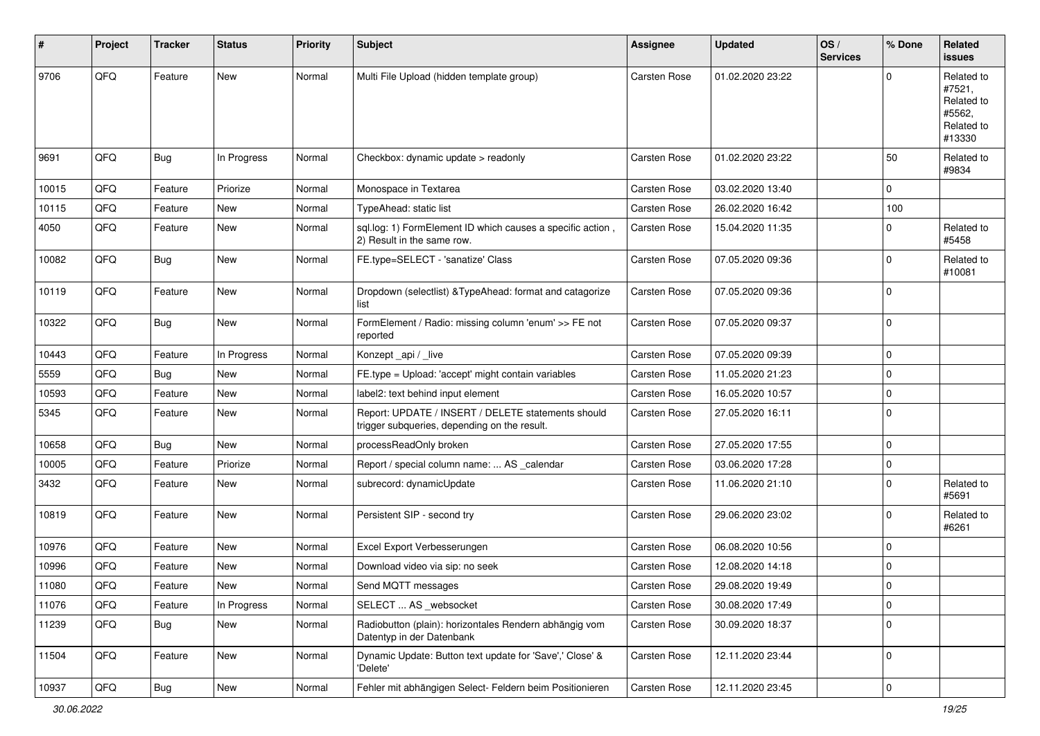| #     | Project | <b>Tracker</b> | <b>Status</b> | <b>Priority</b> | Subject                                                                                            | Assignee            | <b>Updated</b>   | OS/<br><b>Services</b> | % Done      | Related<br>issues                                                    |
|-------|---------|----------------|---------------|-----------------|----------------------------------------------------------------------------------------------------|---------------------|------------------|------------------------|-------------|----------------------------------------------------------------------|
| 9706  | QFQ     | Feature        | <b>New</b>    | Normal          | Multi File Upload (hidden template group)                                                          | <b>Carsten Rose</b> | 01.02.2020 23:22 |                        | $\Omega$    | Related to<br>#7521,<br>Related to<br>#5562,<br>Related to<br>#13330 |
| 9691  | QFQ     | Bug            | In Progress   | Normal          | Checkbox: dynamic update > readonly                                                                | Carsten Rose        | 01.02.2020 23:22 |                        | 50          | Related to<br>#9834                                                  |
| 10015 | QFQ     | Feature        | Priorize      | Normal          | Monospace in Textarea                                                                              | <b>Carsten Rose</b> | 03.02.2020 13:40 |                        | $\mathbf 0$ |                                                                      |
| 10115 | QFQ     | Feature        | <b>New</b>    | Normal          | TypeAhead: static list                                                                             | <b>Carsten Rose</b> | 26.02.2020 16:42 |                        | 100         |                                                                      |
| 4050  | QFQ     | Feature        | New           | Normal          | sql.log: 1) FormElement ID which causes a specific action,<br>2) Result in the same row.           | Carsten Rose        | 15.04.2020 11:35 |                        | 0           | Related to<br>#5458                                                  |
| 10082 | QFQ     | Bug            | <b>New</b>    | Normal          | FE.type=SELECT - 'sanatize' Class                                                                  | Carsten Rose        | 07.05.2020 09:36 |                        | $\Omega$    | Related to<br>#10081                                                 |
| 10119 | QFQ     | Feature        | <b>New</b>    | Normal          | Dropdown (selectlist) & TypeAhead: format and catagorize<br>list                                   | Carsten Rose        | 07.05.2020 09:36 |                        | $\Omega$    |                                                                      |
| 10322 | QFQ     | Bug            | <b>New</b>    | Normal          | FormElement / Radio: missing column 'enum' >> FE not<br>reported                                   | Carsten Rose        | 07.05.2020 09:37 |                        | $\Omega$    |                                                                      |
| 10443 | QFQ     | Feature        | In Progress   | Normal          | Konzept_api / _live                                                                                | Carsten Rose        | 07.05.2020 09:39 |                        | $\mathbf 0$ |                                                                      |
| 5559  | QFQ     | Bug            | <b>New</b>    | Normal          | FE.type = Upload: 'accept' might contain variables                                                 | Carsten Rose        | 11.05.2020 21:23 |                        | $\Omega$    |                                                                      |
| 10593 | QFQ     | Feature        | <b>New</b>    | Normal          | label2: text behind input element                                                                  | <b>Carsten Rose</b> | 16.05.2020 10:57 |                        | $\mathbf 0$ |                                                                      |
| 5345  | QFQ     | Feature        | New           | Normal          | Report: UPDATE / INSERT / DELETE statements should<br>trigger subqueries, depending on the result. | Carsten Rose        | 27.05.2020 16:11 |                        | $\Omega$    |                                                                      |
| 10658 | QFQ     | Bug            | <b>New</b>    | Normal          | processReadOnly broken                                                                             | Carsten Rose        | 27.05.2020 17:55 |                        | $\mathbf 0$ |                                                                      |
| 10005 | QFQ     | Feature        | Priorize      | Normal          | Report / special column name:  AS _calendar                                                        | Carsten Rose        | 03.06.2020 17:28 |                        | $\mathbf 0$ |                                                                      |
| 3432  | QFQ     | Feature        | New           | Normal          | subrecord: dynamicUpdate                                                                           | Carsten Rose        | 11.06.2020 21:10 |                        | 0           | Related to<br>#5691                                                  |
| 10819 | QFQ     | Feature        | New           | Normal          | Persistent SIP - second try                                                                        | Carsten Rose        | 29.06.2020 23:02 |                        | $\Omega$    | Related to<br>#6261                                                  |
| 10976 | QFQ     | Feature        | <b>New</b>    | Normal          | Excel Export Verbesserungen                                                                        | <b>Carsten Rose</b> | 06.08.2020 10:56 |                        | $\Omega$    |                                                                      |
| 10996 | QFQ     | Feature        | New           | Normal          | Download video via sip: no seek                                                                    | Carsten Rose        | 12.08.2020 14:18 |                        | $\Omega$    |                                                                      |
| 11080 | QFQ     | Feature        | New           | Normal          | Send MQTT messages                                                                                 | Carsten Rose        | 29.08.2020 19:49 |                        | $\Omega$    |                                                                      |
| 11076 | QFQ     | Feature        | In Progress   | Normal          | SELECT  AS _websocket                                                                              | Carsten Rose        | 30.08.2020 17:49 |                        | $\mathbf 0$ |                                                                      |
| 11239 | QFQ     | <b>Bug</b>     | New           | Normal          | Radiobutton (plain): horizontales Rendern abhängig vom<br>Datentyp in der Datenbank                | Carsten Rose        | 30.09.2020 18:37 |                        | $\mathbf 0$ |                                                                      |
| 11504 | QFQ     | Feature        | New           | Normal          | Dynamic Update: Button text update for 'Save',' Close' &<br>'Delete'                               | Carsten Rose        | 12.11.2020 23:44 |                        | 0           |                                                                      |
| 10937 | QFG     | Bug            | New           | Normal          | Fehler mit abhängigen Select- Feldern beim Positionieren                                           | Carsten Rose        | 12.11.2020 23:45 |                        | $\mathbf 0$ |                                                                      |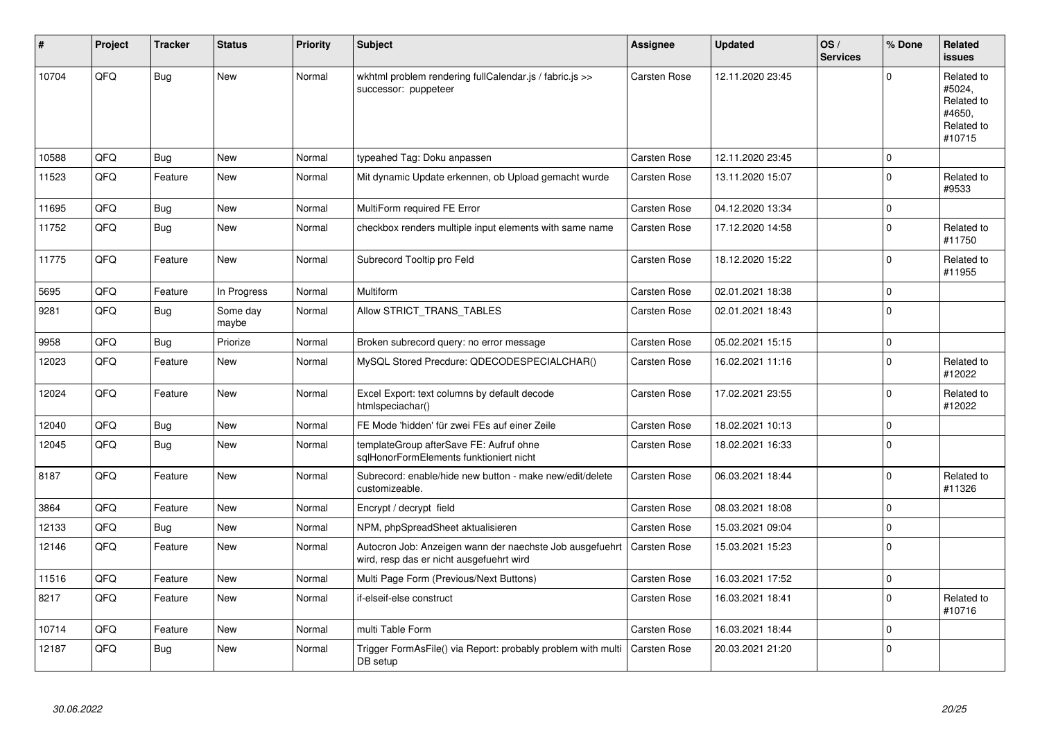| $\#$  | Project | <b>Tracker</b> | <b>Status</b>     | <b>Priority</b> | <b>Subject</b>                                                                                       | <b>Assignee</b>     | <b>Updated</b>   | OS/<br><b>Services</b> | % Done         | Related<br><b>issues</b>                                             |
|-------|---------|----------------|-------------------|-----------------|------------------------------------------------------------------------------------------------------|---------------------|------------------|------------------------|----------------|----------------------------------------------------------------------|
| 10704 | QFQ     | <b>Bug</b>     | New               | Normal          | wkhtml problem rendering fullCalendar.js / fabric.js >><br>successor: puppeteer                      | Carsten Rose        | 12.11.2020 23:45 |                        | $\Omega$       | Related to<br>#5024,<br>Related to<br>#4650,<br>Related to<br>#10715 |
| 10588 | QFQ     | Bug            | <b>New</b>        | Normal          | typeahed Tag: Doku anpassen                                                                          | Carsten Rose        | 12.11.2020 23:45 |                        | $\mathbf 0$    |                                                                      |
| 11523 | OFO     | Feature        | <b>New</b>        | Normal          | Mit dynamic Update erkennen, ob Upload gemacht wurde                                                 | Carsten Rose        | 13.11.2020 15:07 |                        | $\Omega$       | Related to<br>#9533                                                  |
| 11695 | QFQ     | <b>Bug</b>     | New               | Normal          | MultiForm required FE Error                                                                          | <b>Carsten Rose</b> | 04.12.2020 13:34 |                        | $\mathbf 0$    |                                                                      |
| 11752 | QFQ     | <b>Bug</b>     | New               | Normal          | checkbox renders multiple input elements with same name                                              | Carsten Rose        | 17.12.2020 14:58 |                        | $\Omega$       | Related to<br>#11750                                                 |
| 11775 | QFQ     | Feature        | <b>New</b>        | Normal          | Subrecord Tooltip pro Feld                                                                           | Carsten Rose        | 18.12.2020 15:22 |                        | $\Omega$       | Related to<br>#11955                                                 |
| 5695  | QFQ     | Feature        | In Progress       | Normal          | Multiform                                                                                            | <b>Carsten Rose</b> | 02.01.2021 18:38 |                        | $\Omega$       |                                                                      |
| 9281  | QFQ     | <b>Bug</b>     | Some day<br>maybe | Normal          | Allow STRICT_TRANS_TABLES                                                                            | <b>Carsten Rose</b> | 02.01.2021 18:43 |                        | $\overline{0}$ |                                                                      |
| 9958  | QFQ     | Bug            | Priorize          | Normal          | Broken subrecord query: no error message                                                             | Carsten Rose        | 05.02.2021 15:15 |                        | $\mathsf 0$    |                                                                      |
| 12023 | QFQ     | Feature        | New               | Normal          | MySQL Stored Precdure: QDECODESPECIALCHAR()                                                          | <b>Carsten Rose</b> | 16.02.2021 11:16 |                        | $\Omega$       | Related to<br>#12022                                                 |
| 12024 | QFQ     | Feature        | <b>New</b>        | Normal          | Excel Export: text columns by default decode<br>htmlspeciachar()                                     | <b>Carsten Rose</b> | 17.02.2021 23:55 |                        | $\Omega$       | Related to<br>#12022                                                 |
| 12040 | QFQ     | <b>Bug</b>     | <b>New</b>        | Normal          | FE Mode 'hidden' für zwei FEs auf einer Zeile                                                        | <b>Carsten Rose</b> | 18.02.2021 10:13 |                        | $\mathbf 0$    |                                                                      |
| 12045 | QFQ     | Bug            | <b>New</b>        | Normal          | templateGroup afterSave FE: Aufruf ohne<br>sqlHonorFormElements funktioniert nicht                   | <b>Carsten Rose</b> | 18.02.2021 16:33 |                        | $\Omega$       |                                                                      |
| 8187  | QFQ     | Feature        | <b>New</b>        | Normal          | Subrecord: enable/hide new button - make new/edit/delete<br>customizeable.                           | <b>Carsten Rose</b> | 06.03.2021 18:44 |                        | $\Omega$       | Related to<br>#11326                                                 |
| 3864  | QFQ     | Feature        | <b>New</b>        | Normal          | Encrypt / decrypt field                                                                              | Carsten Rose        | 08.03.2021 18:08 |                        | $\Omega$       |                                                                      |
| 12133 | QFQ     | Bug            | <b>New</b>        | Normal          | NPM, phpSpreadSheet aktualisieren                                                                    | Carsten Rose        | 15.03.2021 09:04 |                        | $\mathbf 0$    |                                                                      |
| 12146 | QFQ     | Feature        | <b>New</b>        | Normal          | Autocron Job: Anzeigen wann der naechste Job ausgefuehrt<br>wird, resp das er nicht ausgefuehrt wird | <b>Carsten Rose</b> | 15.03.2021 15:23 |                        | $\Omega$       |                                                                      |
| 11516 | QFQ     | Feature        | <b>New</b>        | Normal          | Multi Page Form (Previous/Next Buttons)                                                              | Carsten Rose        | 16.03.2021 17:52 |                        | $\mathbf 0$    |                                                                      |
| 8217  | QFQ     | Feature        | New               | Normal          | if-elseif-else construct                                                                             | <b>Carsten Rose</b> | 16.03.2021 18:41 |                        | $\Omega$       | Related to<br>#10716                                                 |
| 10714 | QFQ     | Feature        | <b>New</b>        | Normal          | multi Table Form                                                                                     | Carsten Rose        | 16.03.2021 18:44 |                        | $\mathbf 0$    |                                                                      |
| 12187 | QFQ     | <b>Bug</b>     | <b>New</b>        | Normal          | Trigger FormAsFile() via Report: probably problem with multi<br>DB setup                             | <b>Carsten Rose</b> | 20.03.2021 21:20 |                        | $\Omega$       |                                                                      |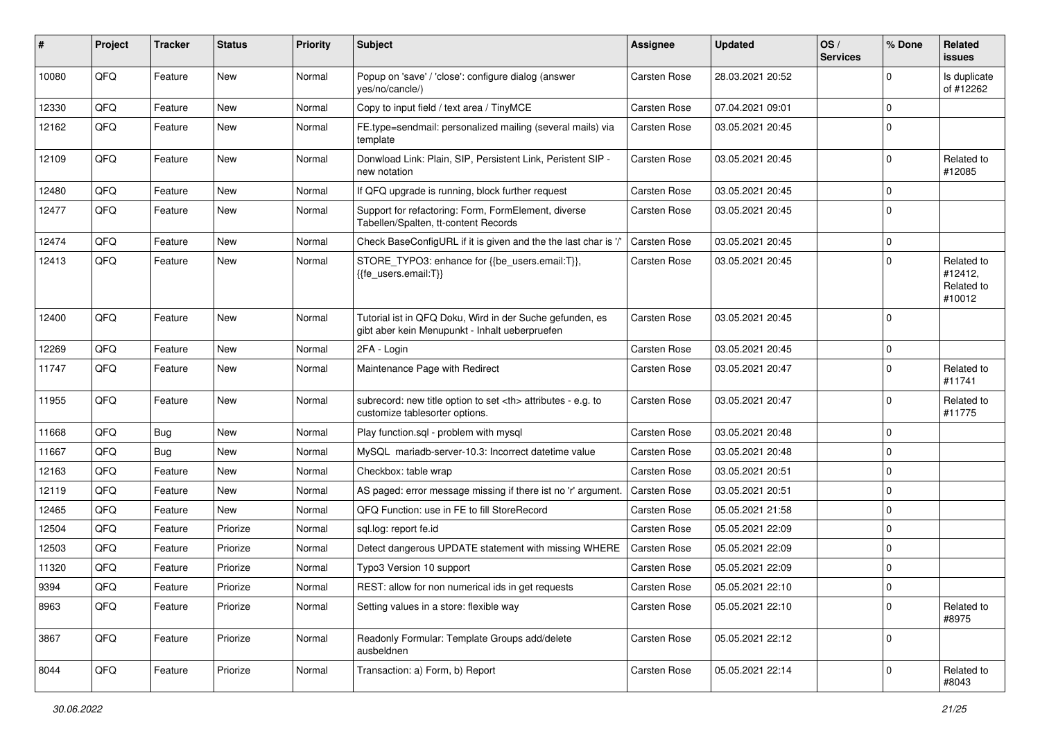| ∦     | Project | <b>Tracker</b> | <b>Status</b> | <b>Priority</b> | <b>Subject</b>                                                                                             | Assignee                                               | <b>Updated</b>   | OS/<br><b>Services</b> | % Done      | Related<br><b>issues</b>                      |                      |
|-------|---------|----------------|---------------|-----------------|------------------------------------------------------------------------------------------------------------|--------------------------------------------------------|------------------|------------------------|-------------|-----------------------------------------------|----------------------|
| 10080 | QFQ     | Feature        | <b>New</b>    | Normal          | Popup on 'save' / 'close': configure dialog (answer<br>yes/no/cancle/)                                     | Carsten Rose                                           | 28.03.2021 20:52 |                        | $\Omega$    | Is duplicate<br>of #12262                     |                      |
| 12330 | QFQ     | Feature        | New           | Normal          | Copy to input field / text area / TinyMCE                                                                  | Carsten Rose                                           | 07.04.2021 09:01 |                        | $\Omega$    |                                               |                      |
| 12162 | QFQ     | Feature        | <b>New</b>    | Normal          | FE.type=sendmail: personalized mailing (several mails) via<br>template                                     | Carsten Rose                                           | 03.05.2021 20:45 |                        | $\Omega$    |                                               |                      |
| 12109 | QFQ     | Feature        | New           | Normal          | Donwload Link: Plain, SIP, Persistent Link, Peristent SIP -<br>new notation                                | <b>Carsten Rose</b>                                    | 03.05.2021 20:45 |                        | $\Omega$    | Related to<br>#12085                          |                      |
| 12480 | QFQ     | Feature        | <b>New</b>    | Normal          | If QFQ upgrade is running, block further request                                                           | Carsten Rose                                           | 03.05.2021 20:45 |                        | $\Omega$    |                                               |                      |
| 12477 | QFQ     | Feature        | New           | Normal          | Support for refactoring: Form, FormElement, diverse<br>Tabellen/Spalten, tt-content Records                | Carsten Rose                                           | 03.05.2021 20:45 |                        | $\Omega$    |                                               |                      |
| 12474 | QFQ     | Feature        | New           | Normal          | Check BaseConfigURL if it is given and the the last char is '/'                                            | <b>Carsten Rose</b>                                    | 03.05.2021 20:45 |                        | $\mathbf 0$ |                                               |                      |
| 12413 | QFQ     | Feature        | New           | Normal          | STORE_TYPO3: enhance for {{be_users.email:T}},<br>{{fe users.email:T}}                                     | Carsten Rose                                           | 03.05.2021 20:45 |                        | $\Omega$    | Related to<br>#12412,<br>Related to<br>#10012 |                      |
| 12400 | QFQ     | Feature        | <b>New</b>    | Normal          | Tutorial ist in QFQ Doku, Wird in der Suche gefunden, es<br>gibt aber kein Menupunkt - Inhalt ueberpruefen | Carsten Rose                                           | 03.05.2021 20:45 |                        | $\Omega$    |                                               |                      |
| 12269 | QFQ     | Feature        | <b>New</b>    | Normal          | 2FA - Login                                                                                                | Carsten Rose                                           | 03.05.2021 20:45 |                        | $\mathbf 0$ |                                               |                      |
| 11747 | QFQ     | Feature        | New           | Normal          | Maintenance Page with Redirect                                                                             | Carsten Rose                                           | 03.05.2021 20:47 |                        | $\Omega$    | Related to<br>#11741                          |                      |
| 11955 | QFQ     | Feature        | <b>New</b>    | Normal          | subrecord: new title option to set <th> attributes - e.g. to<br/>customize tablesorter options.</th>       | attributes - e.g. to<br>customize tablesorter options. | Carsten Rose     | 03.05.2021 20:47       |             | $\Omega$                                      | Related to<br>#11775 |
| 11668 | QFQ     | Bug            | <b>New</b>    | Normal          | Play function.sql - problem with mysql                                                                     | Carsten Rose                                           | 03.05.2021 20:48 |                        | $\Omega$    |                                               |                      |
| 11667 | QFQ     | Bug            | <b>New</b>    | Normal          | MySQL mariadb-server-10.3: Incorrect datetime value                                                        | Carsten Rose                                           | 03.05.2021 20:48 |                        | 0           |                                               |                      |
| 12163 | QFQ     | Feature        | New           | Normal          | Checkbox: table wrap                                                                                       | Carsten Rose                                           | 03.05.2021 20:51 |                        | $\Omega$    |                                               |                      |
| 12119 | QFQ     | Feature        | <b>New</b>    | Normal          | AS paged: error message missing if there ist no 'r' argument.                                              | <b>Carsten Rose</b>                                    | 03.05.2021 20:51 |                        | $\mathbf 0$ |                                               |                      |
| 12465 | QFQ     | Feature        | New           | Normal          | QFQ Function: use in FE to fill StoreRecord                                                                | Carsten Rose                                           | 05.05.2021 21:58 |                        | $\Omega$    |                                               |                      |
| 12504 | QFQ     | Feature        | Priorize      | Normal          | sql.log: report fe.id                                                                                      | Carsten Rose                                           | 05.05.2021 22:09 |                        | $\Omega$    |                                               |                      |
| 12503 | QFQ     | Feature        | Priorize      | Normal          | Detect dangerous UPDATE statement with missing WHERE                                                       | Carsten Rose                                           | 05.05.2021 22:09 |                        | $\Omega$    |                                               |                      |
| 11320 | QFQ     | Feature        | Priorize      | Normal          | Typo3 Version 10 support                                                                                   | Carsten Rose                                           | 05.05.2021 22:09 |                        | $\Omega$    |                                               |                      |
| 9394  | QFQ     | Feature        | Priorize      | Normal          | REST: allow for non numerical ids in get requests                                                          | Carsten Rose                                           | 05.05.2021 22:10 |                        | $\Omega$    |                                               |                      |
| 8963  | QFQ     | Feature        | Priorize      | Normal          | Setting values in a store: flexible way                                                                    | Carsten Rose                                           | 05.05.2021 22:10 |                        | $\mathbf 0$ | Related to<br>#8975                           |                      |
| 3867  | QFQ     | Feature        | Priorize      | Normal          | Readonly Formular: Template Groups add/delete<br>ausbeldnen                                                | Carsten Rose                                           | 05.05.2021 22:12 |                        | $\mathbf 0$ |                                               |                      |
| 8044  | QFQ     | Feature        | Priorize      | Normal          | Transaction: a) Form, b) Report                                                                            | Carsten Rose                                           | 05.05.2021 22:14 |                        | $\mathbf 0$ | Related to<br>#8043                           |                      |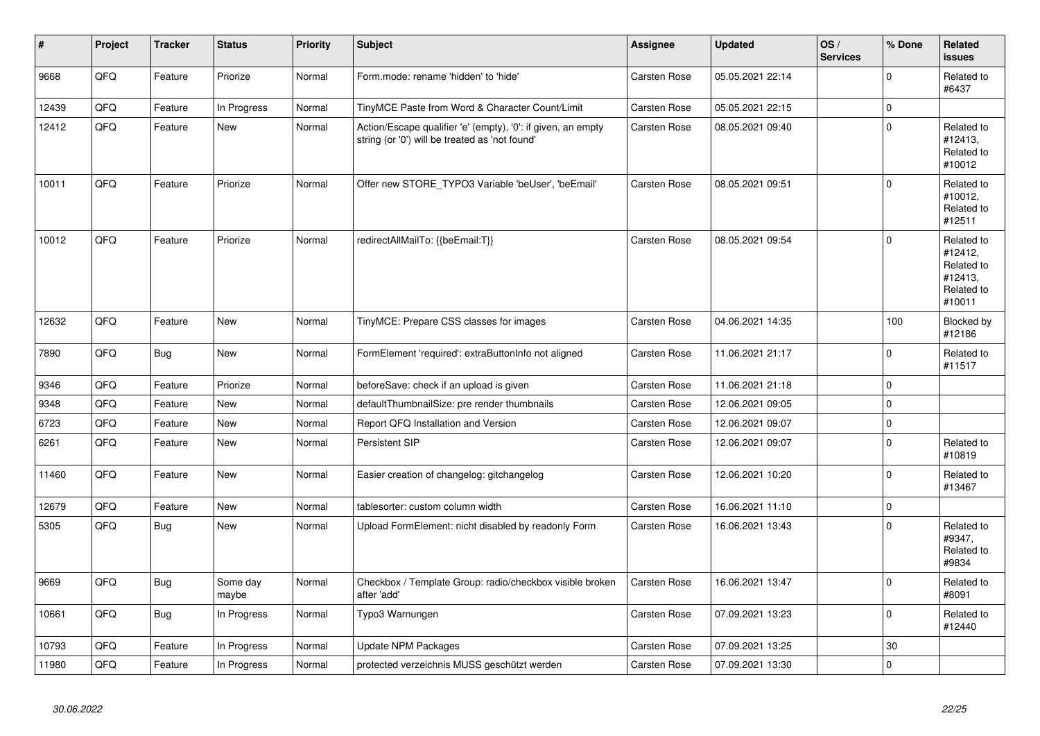| ∦     | Project | <b>Tracker</b> | <b>Status</b>     | <b>Priority</b> | <b>Subject</b>                                                                                                 | Assignee            | <b>Updated</b>   | OS/<br><b>Services</b> | % Done      | Related<br><b>issues</b>                                               |
|-------|---------|----------------|-------------------|-----------------|----------------------------------------------------------------------------------------------------------------|---------------------|------------------|------------------------|-------------|------------------------------------------------------------------------|
| 9668  | QFQ     | Feature        | Priorize          | Normal          | Form.mode: rename 'hidden' to 'hide'                                                                           | Carsten Rose        | 05.05.2021 22:14 |                        | $\mathbf 0$ | Related to<br>#6437                                                    |
| 12439 | QFQ     | Feature        | In Progress       | Normal          | TinyMCE Paste from Word & Character Count/Limit                                                                | Carsten Rose        | 05.05.2021 22:15 |                        | $\mathbf 0$ |                                                                        |
| 12412 | QFQ     | Feature        | New               | Normal          | Action/Escape qualifier 'e' (empty), '0': if given, an empty<br>string (or '0') will be treated as 'not found' | Carsten Rose        | 08.05.2021 09:40 |                        | $\mathbf 0$ | Related to<br>#12413,<br>Related to<br>#10012                          |
| 10011 | QFQ     | Feature        | Priorize          | Normal          | Offer new STORE TYPO3 Variable 'beUser', 'beEmail'                                                             | <b>Carsten Rose</b> | 08.05.2021 09:51 |                        | $\mathbf 0$ | Related to<br>#10012,<br>Related to<br>#12511                          |
| 10012 | QFQ     | Feature        | Priorize          | Normal          | redirectAllMailTo: {{beEmail:T}}                                                                               | <b>Carsten Rose</b> | 08.05.2021 09:54 |                        | $\mathbf 0$ | Related to<br>#12412,<br>Related to<br>#12413,<br>Related to<br>#10011 |
| 12632 | QFQ     | Feature        | <b>New</b>        | Normal          | TinyMCE: Prepare CSS classes for images                                                                        | Carsten Rose        | 04.06.2021 14:35 |                        | 100         | Blocked by<br>#12186                                                   |
| 7890  | QFQ     | <b>Bug</b>     | New               | Normal          | FormElement 'required': extraButtonInfo not aligned                                                            | <b>Carsten Rose</b> | 11.06.2021 21:17 |                        | $\mathbf 0$ | Related to<br>#11517                                                   |
| 9346  | QFQ     | Feature        | Priorize          | Normal          | beforeSave: check if an upload is given                                                                        | Carsten Rose        | 11.06.2021 21:18 |                        | $\mathbf 0$ |                                                                        |
| 9348  | QFQ     | Feature        | New               | Normal          | defaultThumbnailSize: pre render thumbnails                                                                    | Carsten Rose        | 12.06.2021 09:05 |                        | $\mathbf 0$ |                                                                        |
| 6723  | QFQ     | Feature        | New               | Normal          | Report QFQ Installation and Version                                                                            | <b>Carsten Rose</b> | 12.06.2021 09:07 |                        | 0           |                                                                        |
| 6261  | QFQ     | Feature        | <b>New</b>        | Normal          | Persistent SIP                                                                                                 | Carsten Rose        | 12.06.2021 09:07 |                        | $\mathbf 0$ | Related to<br>#10819                                                   |
| 11460 | QFQ     | Feature        | New               | Normal          | Easier creation of changelog: gitchangelog                                                                     | Carsten Rose        | 12.06.2021 10:20 |                        | $\mathbf 0$ | Related to<br>#13467                                                   |
| 12679 | QFQ     | Feature        | <b>New</b>        | Normal          | tablesorter: custom column width                                                                               | Carsten Rose        | 16.06.2021 11:10 |                        | $\pmb{0}$   |                                                                        |
| 5305  | QFQ     | <b>Bug</b>     | New               | Normal          | Upload FormElement: nicht disabled by readonly Form                                                            | Carsten Rose        | 16.06.2021 13:43 |                        | $\mathbf 0$ | Related to<br>#9347,<br>Related to<br>#9834                            |
| 9669  | QFQ     | Bug            | Some day<br>maybe | Normal          | Checkbox / Template Group: radio/checkbox visible broken<br>after 'add'                                        | <b>Carsten Rose</b> | 16.06.2021 13:47 |                        | $\Omega$    | Related to<br>#8091                                                    |
| 10661 | QFQ     | Bug            | In Progress       | Normal          | Typo3 Warnungen                                                                                                | Carsten Rose        | 07.09.2021 13:23 |                        | $\mathbf 0$ | Related to<br>#12440                                                   |
| 10793 | QFQ     | Feature        | In Progress       | Normal          | Update NPM Packages                                                                                            | Carsten Rose        | 07.09.2021 13:25 |                        | 30          |                                                                        |
| 11980 | QFQ     | Feature        | In Progress       | Normal          | protected verzeichnis MUSS geschützt werden                                                                    | Carsten Rose        | 07.09.2021 13:30 |                        | $\mathbf 0$ |                                                                        |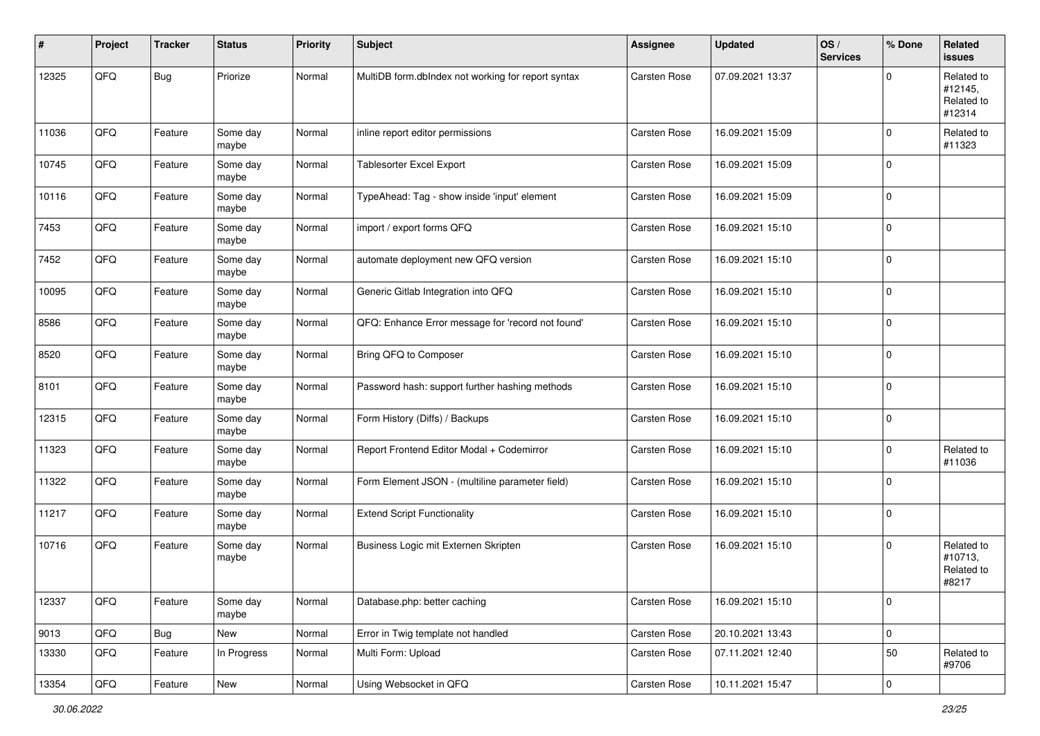| ∦     | Project | <b>Tracker</b> | <b>Status</b>     | <b>Priority</b> | Subject                                            | Assignee            | <b>Updated</b>   | OS/<br><b>Services</b> | % Done      | Related<br>issues                             |
|-------|---------|----------------|-------------------|-----------------|----------------------------------------------------|---------------------|------------------|------------------------|-------------|-----------------------------------------------|
| 12325 | QFQ     | Bug            | Priorize          | Normal          | MultiDB form.dblndex not working for report syntax | Carsten Rose        | 07.09.2021 13:37 |                        | 0           | Related to<br>#12145,<br>Related to<br>#12314 |
| 11036 | QFQ     | Feature        | Some day<br>maybe | Normal          | inline report editor permissions                   | <b>Carsten Rose</b> | 16.09.2021 15:09 |                        | $\Omega$    | Related to<br>#11323                          |
| 10745 | QFQ     | Feature        | Some day<br>maybe | Normal          | <b>Tablesorter Excel Export</b>                    | Carsten Rose        | 16.09.2021 15:09 |                        | $\Omega$    |                                               |
| 10116 | QFQ     | Feature        | Some day<br>maybe | Normal          | TypeAhead: Tag - show inside 'input' element       | Carsten Rose        | 16.09.2021 15:09 |                        | $\mathbf 0$ |                                               |
| 7453  | QFQ     | Feature        | Some day<br>maybe | Normal          | import / export forms QFQ                          | Carsten Rose        | 16.09.2021 15:10 |                        | $\mathbf 0$ |                                               |
| 7452  | QFQ     | Feature        | Some day<br>maybe | Normal          | automate deployment new QFQ version                | Carsten Rose        | 16.09.2021 15:10 |                        | $\mathbf 0$ |                                               |
| 10095 | QFQ     | Feature        | Some day<br>maybe | Normal          | Generic Gitlab Integration into QFQ                | <b>Carsten Rose</b> | 16.09.2021 15:10 |                        | $\mathbf 0$ |                                               |
| 8586  | QFQ     | Feature        | Some day<br>maybe | Normal          | QFQ: Enhance Error message for 'record not found'  | <b>Carsten Rose</b> | 16.09.2021 15:10 |                        | $\Omega$    |                                               |
| 8520  | QFQ     | Feature        | Some day<br>maybe | Normal          | Bring QFQ to Composer                              | <b>Carsten Rose</b> | 16.09.2021 15:10 |                        | $\Omega$    |                                               |
| 8101  | QFQ     | Feature        | Some day<br>maybe | Normal          | Password hash: support further hashing methods     | <b>Carsten Rose</b> | 16.09.2021 15:10 |                        | $\mathbf 0$ |                                               |
| 12315 | QFQ     | Feature        | Some day<br>maybe | Normal          | Form History (Diffs) / Backups                     | Carsten Rose        | 16.09.2021 15:10 |                        | $\mathbf 0$ |                                               |
| 11323 | QFQ     | Feature        | Some day<br>maybe | Normal          | Report Frontend Editor Modal + Codemirror          | Carsten Rose        | 16.09.2021 15:10 |                        | $\Omega$    | Related to<br>#11036                          |
| 11322 | QFQ     | Feature        | Some day<br>maybe | Normal          | Form Element JSON - (multiline parameter field)    | Carsten Rose        | 16.09.2021 15:10 |                        | $\Omega$    |                                               |
| 11217 | QFQ     | Feature        | Some day<br>maybe | Normal          | <b>Extend Script Functionality</b>                 | Carsten Rose        | 16.09.2021 15:10 |                        | $\Omega$    |                                               |
| 10716 | QFQ     | Feature        | Some day<br>maybe | Normal          | Business Logic mit Externen Skripten               | <b>Carsten Rose</b> | 16.09.2021 15:10 |                        | $\Omega$    | Related to<br>#10713,<br>Related to<br>#8217  |
| 12337 | QFG     | Feature        | Some day<br>maybe | Normal          | Database.php: better caching                       | Carsten Rose        | 16.09.2021 15:10 |                        | $\mathbf 0$ |                                               |
| 9013  | QFQ     | Bug            | New               | Normal          | Error in Twig template not handled                 | Carsten Rose        | 20.10.2021 13:43 |                        | $\mathbf 0$ |                                               |
| 13330 | QFQ     | Feature        | In Progress       | Normal          | Multi Form: Upload                                 | Carsten Rose        | 07.11.2021 12:40 |                        | $50\,$      | Related to<br>#9706                           |
| 13354 | QFG     | Feature        | New               | Normal          | Using Websocket in QFQ                             | Carsten Rose        | 10.11.2021 15:47 |                        | 0           |                                               |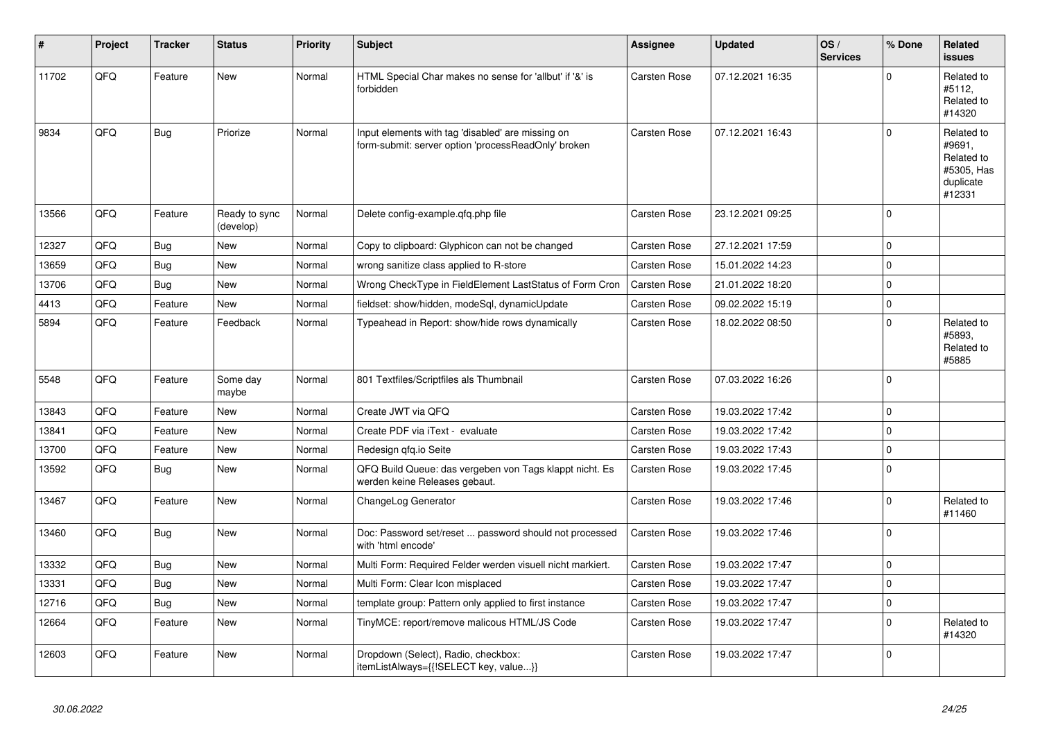| #     | Project | <b>Tracker</b> | <b>Status</b>              | <b>Priority</b> | <b>Subject</b>                                                                                           | Assignee            | <b>Updated</b>   | OS/<br><b>Services</b> | % Done      | Related<br><b>issues</b>                                                |
|-------|---------|----------------|----------------------------|-----------------|----------------------------------------------------------------------------------------------------------|---------------------|------------------|------------------------|-------------|-------------------------------------------------------------------------|
| 11702 | QFQ     | Feature        | <b>New</b>                 | Normal          | HTML Special Char makes no sense for 'allbut' if '&' is<br>forbidden                                     | Carsten Rose        | 07.12.2021 16:35 |                        | $\Omega$    | Related to<br>#5112,<br>Related to<br>#14320                            |
| 9834  | QFQ     | Bug            | Priorize                   | Normal          | Input elements with tag 'disabled' are missing on<br>form-submit: server option 'processReadOnly' broken | <b>Carsten Rose</b> | 07.12.2021 16:43 |                        | $\Omega$    | Related to<br>#9691,<br>Related to<br>#5305, Has<br>duplicate<br>#12331 |
| 13566 | QFQ     | Feature        | Ready to sync<br>(develop) | Normal          | Delete config-example.qfq.php file                                                                       | Carsten Rose        | 23.12.2021 09:25 |                        | $\Omega$    |                                                                         |
| 12327 | QFQ     | Bug            | <b>New</b>                 | Normal          | Copy to clipboard: Glyphicon can not be changed                                                          | Carsten Rose        | 27.12.2021 17:59 |                        | $\Omega$    |                                                                         |
| 13659 | QFQ     | Bug            | <b>New</b>                 | Normal          | wrong sanitize class applied to R-store                                                                  | <b>Carsten Rose</b> | 15.01.2022 14:23 |                        | $\Omega$    |                                                                         |
| 13706 | QFQ     | Bug            | <b>New</b>                 | Normal          | Wrong CheckType in FieldElement LastStatus of Form Cron                                                  | Carsten Rose        | 21.01.2022 18:20 |                        | $\mathbf 0$ |                                                                         |
| 4413  | QFQ     | Feature        | <b>New</b>                 | Normal          | fieldset: show/hidden, modeSql, dynamicUpdate                                                            | Carsten Rose        | 09.02.2022 15:19 |                        | $\Omega$    |                                                                         |
| 5894  | QFQ     | Feature        | Feedback                   | Normal          | Typeahead in Report: show/hide rows dynamically                                                          | Carsten Rose        | 18.02.2022 08:50 |                        | $\Omega$    | Related to<br>#5893,<br>Related to<br>#5885                             |
| 5548  | QFQ     | Feature        | Some day<br>maybe          | Normal          | 801 Textfiles/Scriptfiles als Thumbnail                                                                  | Carsten Rose        | 07.03.2022 16:26 |                        | $\Omega$    |                                                                         |
| 13843 | QFQ     | Feature        | <b>New</b>                 | Normal          | Create JWT via QFQ                                                                                       | Carsten Rose        | 19.03.2022 17:42 |                        | $\mathbf 0$ |                                                                         |
| 13841 | QFQ     | Feature        | <b>New</b>                 | Normal          | Create PDF via iText - evaluate                                                                          | Carsten Rose        | 19.03.2022 17:42 |                        | $\Omega$    |                                                                         |
| 13700 | QFQ     | Feature        | <b>New</b>                 | Normal          | Redesign gfg.io Seite                                                                                    | Carsten Rose        | 19.03.2022 17:43 |                        | $\mathbf 0$ |                                                                         |
| 13592 | QFQ     | Bug            | <b>New</b>                 | Normal          | QFQ Build Queue: das vergeben von Tags klappt nicht. Es<br>werden keine Releases gebaut.                 | <b>Carsten Rose</b> | 19.03.2022 17:45 |                        | $\Omega$    |                                                                         |
| 13467 | QFQ     | Feature        | <b>New</b>                 | Normal          | ChangeLog Generator                                                                                      | Carsten Rose        | 19.03.2022 17:46 |                        | $\Omega$    | Related to<br>#11460                                                    |
| 13460 | QFQ     | Bug            | <b>New</b>                 | Normal          | Doc: Password set/reset  password should not processed<br>with 'html encode'                             | <b>Carsten Rose</b> | 19.03.2022 17:46 |                        | $\Omega$    |                                                                         |
| 13332 | QFQ     | Bug            | <b>New</b>                 | Normal          | Multi Form: Required Felder werden visuell nicht markiert.                                               | <b>Carsten Rose</b> | 19.03.2022 17:47 |                        | $\mathbf 0$ |                                                                         |
| 13331 | QFQ     | Bug            | <b>New</b>                 | Normal          | Multi Form: Clear Icon misplaced                                                                         | <b>Carsten Rose</b> | 19.03.2022 17:47 |                        | $\Omega$    |                                                                         |
| 12716 | QFQ     | <b>Bug</b>     | <b>New</b>                 | Normal          | template group: Pattern only applied to first instance                                                   | Carsten Rose        | 19.03.2022 17:47 |                        | $\mathbf 0$ |                                                                         |
| 12664 | QFQ     | Feature        | <b>New</b>                 | Normal          | TinyMCE: report/remove malicous HTML/JS Code                                                             | <b>Carsten Rose</b> | 19.03.2022 17:47 |                        | $\mathbf 0$ | Related to<br>#14320                                                    |
| 12603 | QFQ     | Feature        | New                        | Normal          | Dropdown (Select), Radio, checkbox:<br>itemListAlways={{!SELECT key, value}}                             | Carsten Rose        | 19.03.2022 17:47 |                        | $\Omega$    |                                                                         |